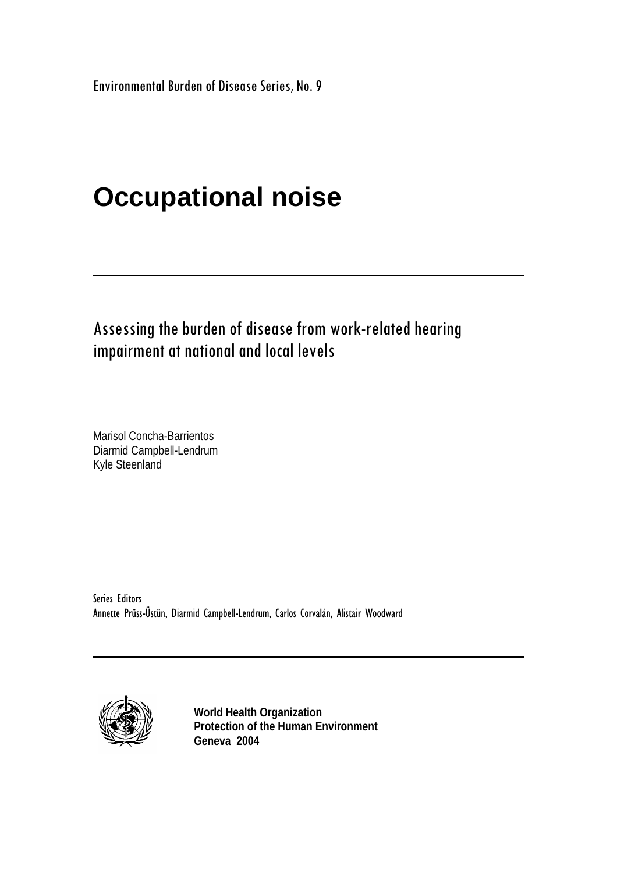Environmental Burden of Disease Series, No. 9

# **Occupational noise**

## Assessing the burden of disease from work-related hearing impairment at national and local levels

Marisol Concha-Barrientos Diarmid Campbell-Lendrum Kyle Steenland

Series Editors Annette Prüss-Üstün, Diarmid Campbell-Lendrum, Carlos Corvalán, Alistair Woodward



**World Health Organization Protection of the Human Environment Geneva 2004**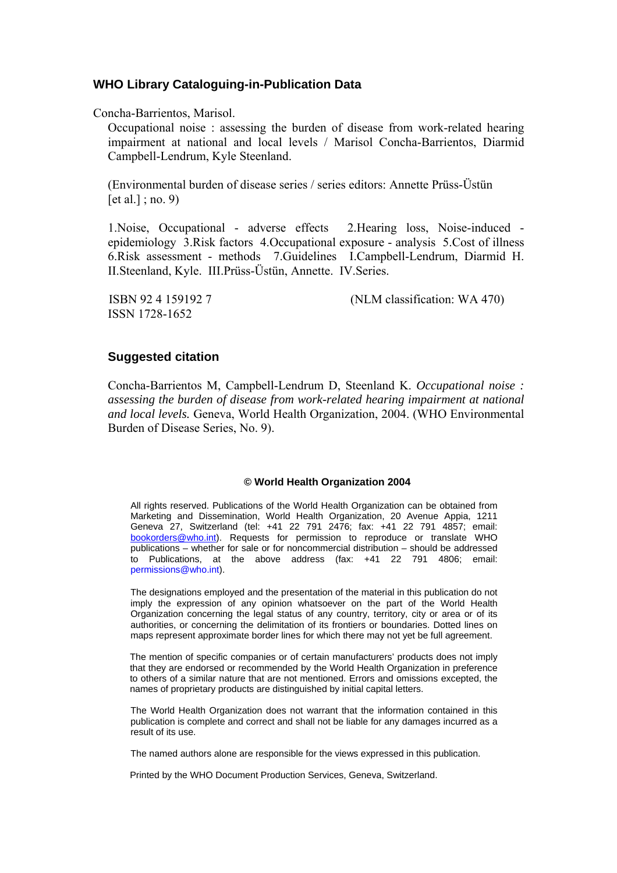#### **WHO Library Cataloguing-in-Publication Data**

Concha-Barrientos, Marisol.

Occupational noise : assessing the burden of disease from work-related hearing impairment at national and local levels / Marisol Concha-Barrientos, Diarmid Campbell-Lendrum, Kyle Steenland.

(Environmental burden of disease series / series editors: Annette Prüss-Üstün [et al.] ; no. 9)

1.Noise, Occupational - adverse effects 2.Hearing loss, Noise-induced epidemiology 3.Risk factors 4.Occupational exposure - analysis 5.Cost of illness 6.Risk assessment - methods 7.Guidelines I.Campbell-Lendrum, Diarmid H. II.Steenland, Kyle. III.Prüss-Üstün, Annette. IV.Series.

ISSN 1728-1652

ISBN 92 4 159192 7 (NLM classification: WA 470)

#### **Suggested citation**

 Concha-Barrientos M, Campbell-Lendrum D, Steenland K. *Occupational noise : assessing the burden of disease from work-related hearing impairment at national and local levels.* Geneva, World Health Organization, 2004. (WHO Environmental Burden of Disease Series, No. 9).

#### **© World Health Organization 2004**

All rights reserved. Publications of the World Health Organization can be obtained from Marketing and Dissemination, World Health Organization, 20 Avenue Appia, 1211 Geneva 27, Switzerland (tel: +41 22 791 2476; fax: +41 22 791 4857; email: bookorders@who.int). Requests for permission to reproduce or translate WHO publications – whether for sale or for noncommercial distribution – should be addressed to Publications, at the above address (fax: +41 22 791 4806; email: permissions@who.int).

The designations employed and the presentation of the material in this publication do not imply the expression of any opinion whatsoever on the part of the World Health Organization concerning the legal status of any country, territory, city or area or of its authorities, or concerning the delimitation of its frontiers or boundaries. Dotted lines on maps represent approximate border lines for which there may not yet be full agreement.

The mention of specific companies or of certain manufacturers' products does not imply that they are endorsed or recommended by the World Health Organization in preference to others of a similar nature that are not mentioned. Errors and omissions excepted, the names of proprietary products are distinguished by initial capital letters.

The World Health Organization does not warrant that the information contained in this publication is complete and correct and shall not be liable for any damages incurred as a result of its use.

The named authors alone are responsible for the views expressed in this publication.

Printed by the WHO Document Production Services, Geneva, Switzerland.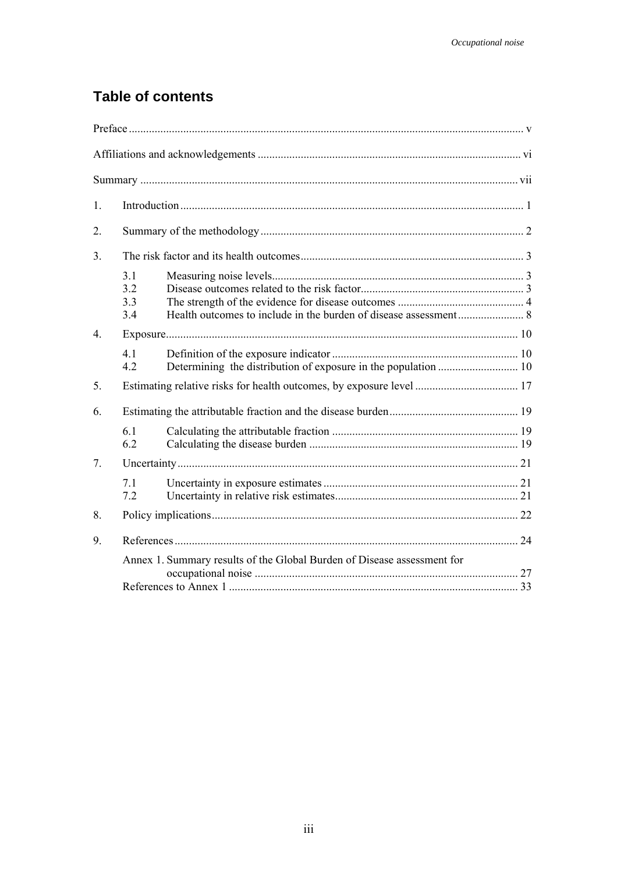### **Table of contents**

| 1.             |                          |                                                                         |  |  |  |
|----------------|--------------------------|-------------------------------------------------------------------------|--|--|--|
| 2.             |                          |                                                                         |  |  |  |
| 3 <sub>1</sub> |                          |                                                                         |  |  |  |
|                | 3.1<br>3.2<br>3.3<br>3.4 |                                                                         |  |  |  |
| $\overline{4}$ |                          |                                                                         |  |  |  |
|                | 4.1<br>4.2               |                                                                         |  |  |  |
| 5.             |                          |                                                                         |  |  |  |
| 6.             |                          |                                                                         |  |  |  |
|                | 6.1<br>6.2               |                                                                         |  |  |  |
| 7.             |                          |                                                                         |  |  |  |
|                | 7.1<br>7.2               |                                                                         |  |  |  |
| 8.             |                          |                                                                         |  |  |  |
| 9.             |                          |                                                                         |  |  |  |
|                |                          | Annex 1. Summary results of the Global Burden of Disease assessment for |  |  |  |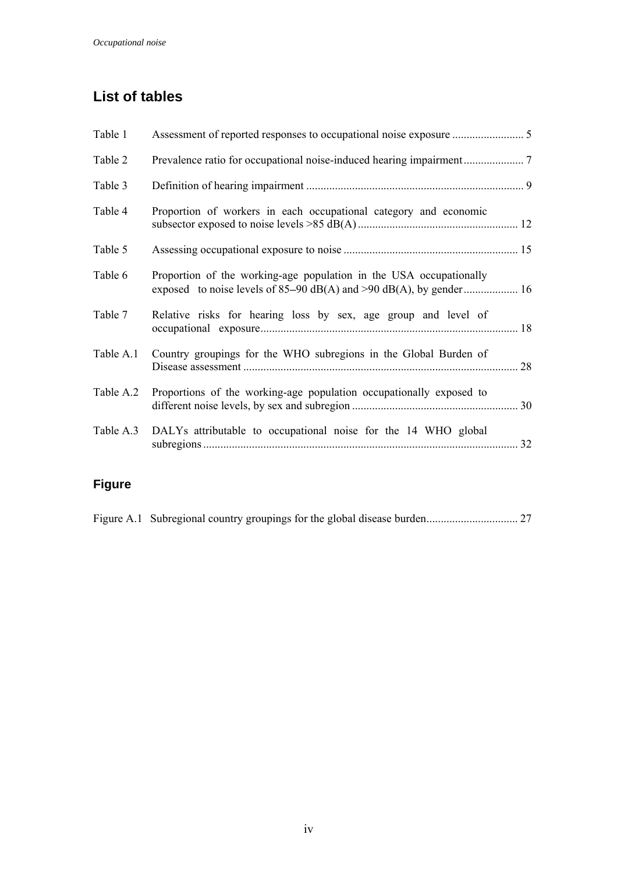### **List of tables**

| Table 1   |                                                                        |  |
|-----------|------------------------------------------------------------------------|--|
| Table 2   |                                                                        |  |
| Table 3   |                                                                        |  |
| Table 4   | Proportion of workers in each occupational category and economic       |  |
| Table 5   |                                                                        |  |
| Table 6   | Proportion of the working-age population in the USA occupationally     |  |
| Table 7   | Relative risks for hearing loss by sex, age group and level of         |  |
| Table A.1 | Country groupings for the WHO subregions in the Global Burden of<br>28 |  |
| Table A.2 | Proportions of the working-age population occupationally exposed to    |  |
| Table A.3 | DALYs attributable to occupational noise for the 14 WHO global         |  |

### **Figure**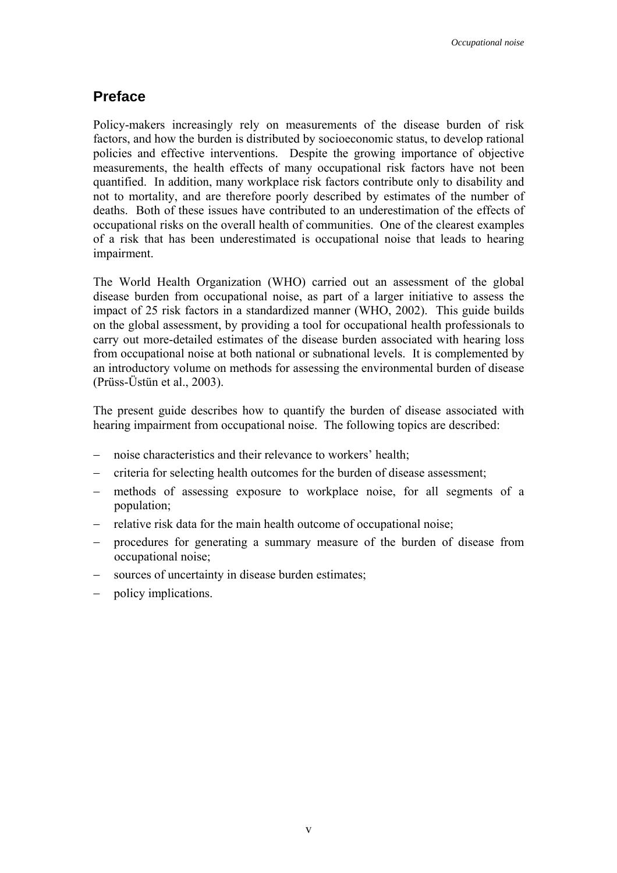### **Preface**

Policy-makers increasingly rely on measurements of the disease burden of risk factors, and how the burden is distributed by socioeconomic status, to develop rational policies and effective interventions. Despite the growing importance of objective measurements, the health effects of many occupational risk factors have not been quantified. In addition, many workplace risk factors contribute only to disability and not to mortality, and are therefore poorly described by estimates of the number of deaths. Both of these issues have contributed to an underestimation of the effects of occupational risks on the overall health of communities. One of the clearest examples of a risk that has been underestimated is occupational noise that leads to hearing impairment.

The World Health Organization (WHO) carried out an assessment of the global disease burden from occupational noise, as part of a larger initiative to assess the impact of 25 risk factors in a standardized manner (WHO, 2002). This guide builds on the global assessment, by providing a tool for occupational health professionals to carry out more-detailed estimates of the disease burden associated with hearing loss from occupational noise at both national or subnational levels. It is complemented by an introductory volume on methods for assessing the environmental burden of disease (Prüss-Üstün et al., 2003).

The present guide describes how to quantify the burden of disease associated with hearing impairment from occupational noise. The following topics are described:

- − noise characteristics and their relevance to workers' health;
- − criteria for selecting health outcomes for the burden of disease assessment;
- − methods of assessing exposure to workplace noise, for all segments of a population;
- relative risk data for the main health outcome of occupational noise;
- procedures for generating a summary measure of the burden of disease from occupational noise;
- − sources of uncertainty in disease burden estimates;
- policy implications.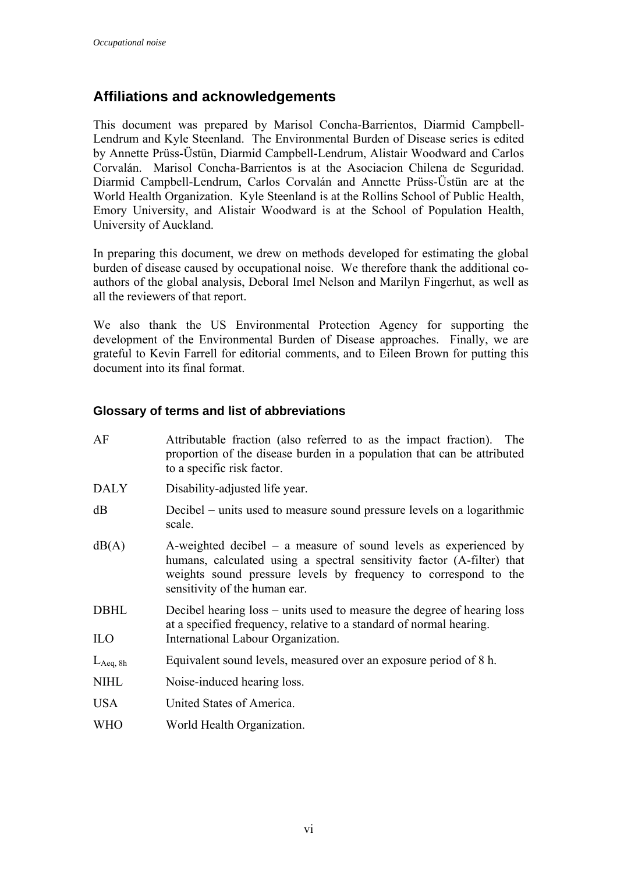### **Affiliations and acknowledgements**

This document was prepared by Marisol Concha-Barrientos, Diarmid Campbell-Lendrum and Kyle Steenland. The Environmental Burden of Disease series is edited by Annette Prüss-Üstün, Diarmid Campbell-Lendrum, Alistair Woodward and Carlos Corvalán. Marisol Concha-Barrientos is at the Asociacion Chilena de Seguridad. Diarmid Campbell-Lendrum, Carlos Corvalán and Annette Prüss-Üstün are at the World Health Organization. Kyle Steenland is at the Rollins School of Public Health, Emory University, and Alistair Woodward is at the School of Population Health, University of Auckland.

In preparing this document, we drew on methods developed for estimating the global burden of disease caused by occupational noise. We therefore thank the additional coauthors of the global analysis, Deboral Imel Nelson and Marilyn Fingerhut, as well as all the reviewers of that report.

We also thank the US Environmental Protection Agency for supporting the development of the Environmental Burden of Disease approaches. Finally, we are grateful to Kevin Farrell for editorial comments, and to Eileen Brown for putting this document into its final format.

### **Glossary of terms and list of abbreviations**

| AF                        | Attributable fraction (also referred to as the impact fraction). The<br>proportion of the disease burden in a population that can be attributed<br>to a specific risk factor.                                                                    |
|---------------------------|--------------------------------------------------------------------------------------------------------------------------------------------------------------------------------------------------------------------------------------------------|
| <b>DALY</b>               | Disability-adjusted life year.                                                                                                                                                                                                                   |
| dB                        | Decibel – units used to measure sound pressure levels on a logarithmic<br>scale.                                                                                                                                                                 |
| dB(A)                     | A-weighted decibel $-$ a measure of sound levels as experienced by<br>humans, calculated using a spectral sensitivity factor (A-filter) that<br>weights sound pressure levels by frequency to correspond to the<br>sensitivity of the human ear. |
| <b>DBHL</b><br><b>ILO</b> | Decibel hearing loss – units used to measure the degree of hearing loss<br>at a specified frequency, relative to a standard of normal hearing.<br>International Labour Organization.                                                             |
| $L_{Aeq, 8h}$             | Equivalent sound levels, measured over an exposure period of 8 h.                                                                                                                                                                                |
| <b>NIHL</b>               | Noise-induced hearing loss.                                                                                                                                                                                                                      |
| <b>USA</b>                | United States of America.                                                                                                                                                                                                                        |
| <b>WHO</b>                | World Health Organization.                                                                                                                                                                                                                       |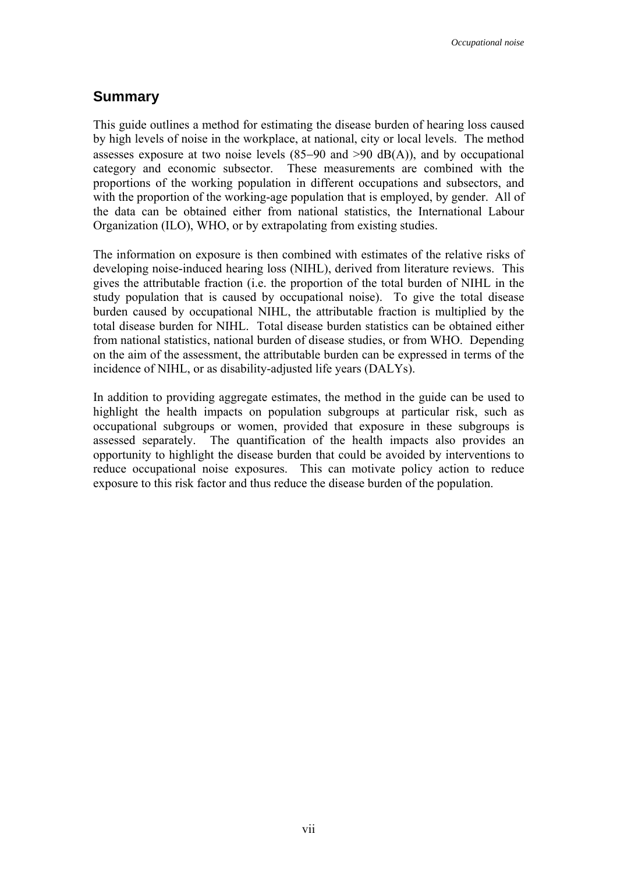### **Summary**

This guide outlines a method for estimating the disease burden of hearing loss caused by high levels of noise in the workplace, at national, city or local levels. The method assesses exposure at two noise levels (85−90 and >90 dB(A)), and by occupational category and economic subsector. These measurements are combined with the proportions of the working population in different occupations and subsectors, and with the proportion of the working-age population that is employed, by gender. All of the data can be obtained either from national statistics, the International Labour Organization (ILO), WHO, or by extrapolating from existing studies.

The information on exposure is then combined with estimates of the relative risks of developing noise-induced hearing loss (NIHL), derived from literature reviews. This gives the attributable fraction (i.e. the proportion of the total burden of NIHL in the study population that is caused by occupational noise). To give the total disease burden caused by occupational NIHL, the attributable fraction is multiplied by the total disease burden for NIHL. Total disease burden statistics can be obtained either from national statistics, national burden of disease studies, or from WHO. Depending on the aim of the assessment, the attributable burden can be expressed in terms of the incidence of NIHL, or as disability-adjusted life years (DALYs).

In addition to providing aggregate estimates, the method in the guide can be used to highlight the health impacts on population subgroups at particular risk, such as occupational subgroups or women, provided that exposure in these subgroups is assessed separately. The quantification of the health impacts also provides an opportunity to highlight the disease burden that could be avoided by interventions to reduce occupational noise exposures. This can motivate policy action to reduce exposure to this risk factor and thus reduce the disease burden of the population.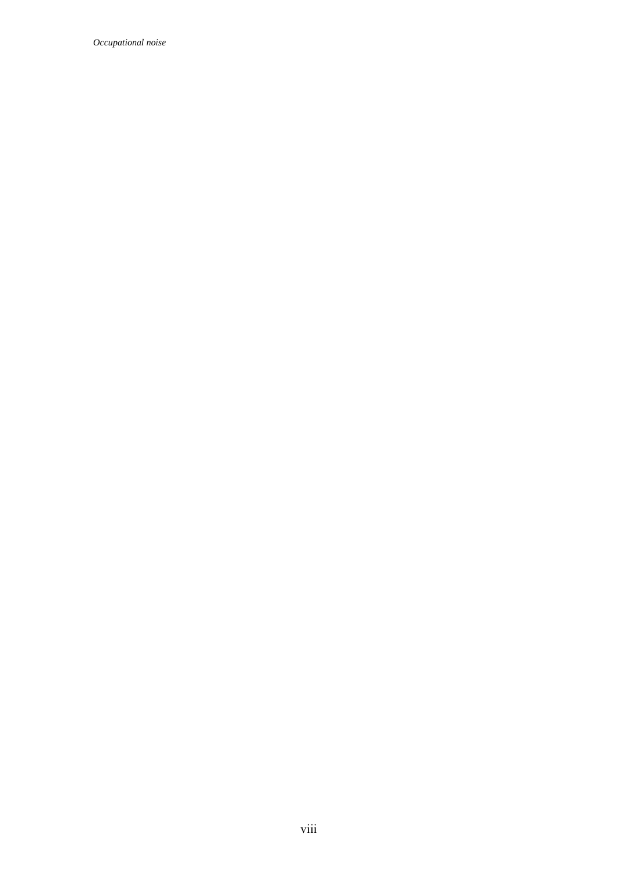*Occupational noise*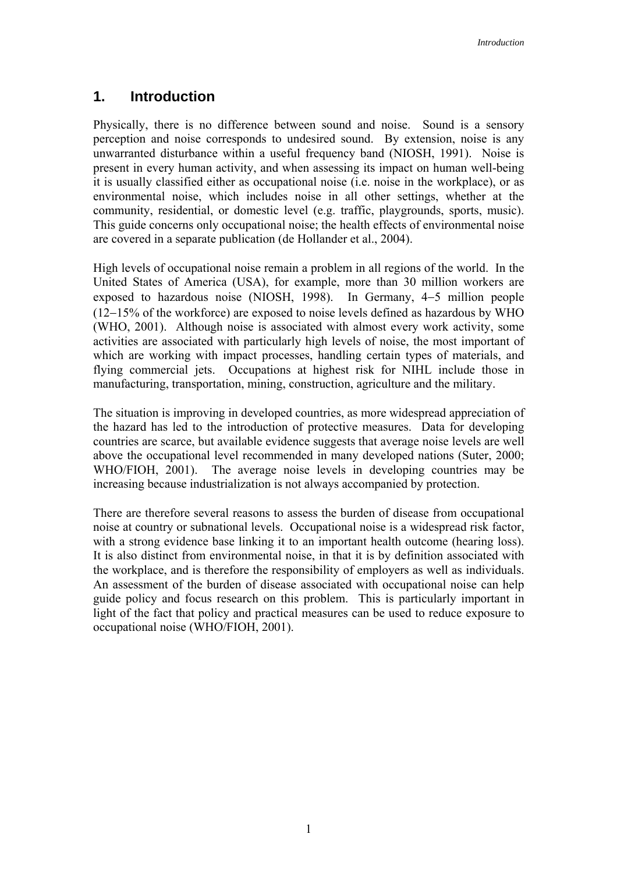### **1. Introduction**

Physically, there is no difference between sound and noise. Sound is a sensory perception and noise corresponds to undesired sound. By extension, noise is any unwarranted disturbance within a useful frequency band (NIOSH, 1991). Noise is present in every human activity, and when assessing its impact on human well-being it is usually classified either as occupational noise (i.e. noise in the workplace), or as environmental noise, which includes noise in all other settings, whether at the community, residential, or domestic level (e.g. traffic, playgrounds, sports, music). This guide concerns only occupational noise; the health effects of environmental noise are covered in a separate publication (de Hollander et al., 2004).

High levels of occupational noise remain a problem in all regions of the world. In the United States of America (USA), for example, more than 30 million workers are exposed to hazardous noise (NIOSH, 1998). In Germany, 4−5 million people (12−15% of the workforce) are exposed to noise levels defined as hazardous by WHO (WHO, 2001). Although noise is associated with almost every work activity, some activities are associated with particularly high levels of noise, the most important of which are working with impact processes, handling certain types of materials, and flying commercial jets. Occupations at highest risk for NIHL include those in manufacturing, transportation, mining, construction, agriculture and the military.

The situation is improving in developed countries, as more widespread appreciation of the hazard has led to the introduction of protective measures. Data for developing countries are scarce, but available evidence suggests that average noise levels are well above the occupational level recommended in many developed nations (Suter, 2000; WHO/FIOH, 2001). The average noise levels in developing countries may be increasing because industrialization is not always accompanied by protection.

There are therefore several reasons to assess the burden of disease from occupational noise at country or subnational levels. Occupational noise is a widespread risk factor, with a strong evidence base linking it to an important health outcome (hearing loss). It is also distinct from environmental noise, in that it is by definition associated with the workplace, and is therefore the responsibility of employers as well as individuals. An assessment of the burden of disease associated with occupational noise can help guide policy and focus research on this problem. This is particularly important in light of the fact that policy and practical measures can be used to reduce exposure to occupational noise (WHO/FIOH, 2001).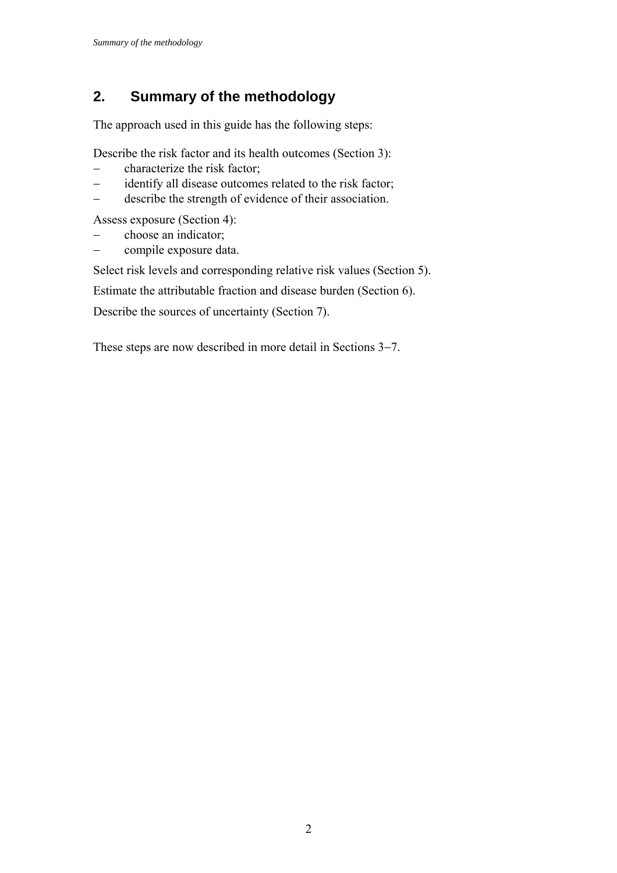### **2. Summary of the methodology**

The approach used in this guide has the following steps:

Describe the risk factor and its health outcomes (Section 3):

- − characterize the risk factor;
- − identify all disease outcomes related to the risk factor;
- − describe the strength of evidence of their association.

Assess exposure (Section 4):

- − choose an indicator;
- − compile exposure data.

Select risk levels and corresponding relative risk values (Section 5).

Estimate the attributable fraction and disease burden (Section 6).

Describe the sources of uncertainty (Section 7).

These steps are now described in more detail in Sections 3−7.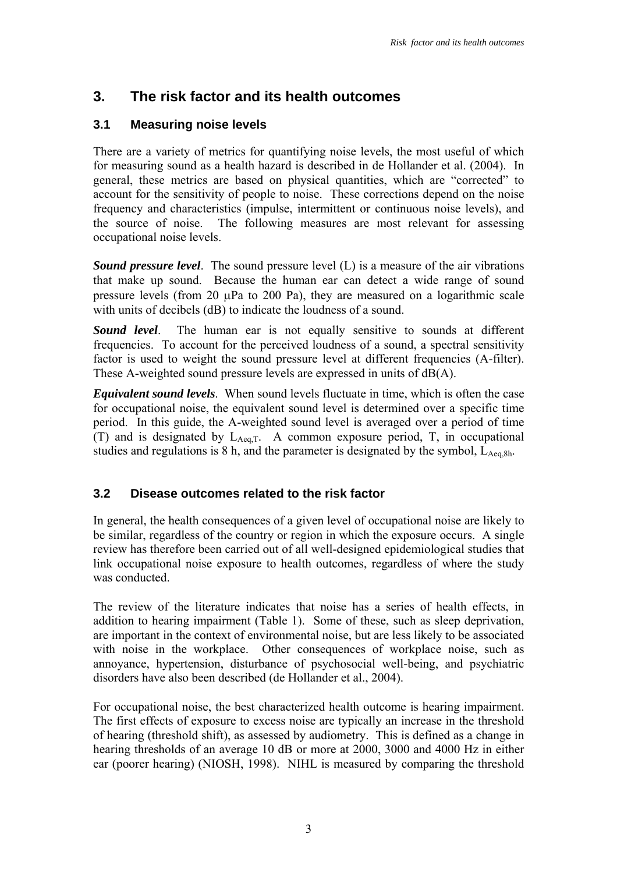### **3. The risk factor and its health outcomes**

### **3.1 Measuring noise levels**

There are a variety of metrics for quantifying noise levels, the most useful of which for measuring sound as a health hazard is described in de Hollander et al. (2004). In general, these metrics are based on physical quantities, which are "corrected" to account for the sensitivity of people to noise. These corrections depend on the noise frequency and characteristics (impulse, intermittent or continuous noise levels), and the source of noise. The following measures are most relevant for assessing occupational noise levels.

*Sound pressure level*. The sound pressure level (L) is a measure of the air vibrations that make up sound. Because the human ear can detect a wide range of sound pressure levels (from 20  $\mu$ Pa to 200 Pa), they are measured on a logarithmic scale with units of decibels (dB) to indicate the loudness of a sound.

*Sound level*. The human ear is not equally sensitive to sounds at different frequencies. To account for the perceived loudness of a sound, a spectral sensitivity factor is used to weight the sound pressure level at different frequencies (A-filter). These A-weighted sound pressure levels are expressed in units of dB(A).

*Equivalent sound levels*. When sound levels fluctuate in time, which is often the case for occupational noise, the equivalent sound level is determined over a specific time period. In this guide, the A-weighted sound level is averaged over a period of time (T) and is designated by LAeq,T. A common exposure period, T, in occupational studies and regulations is 8 h, and the parameter is designated by the symbol,  $L_{Aea,8h}$ .

### **3.2 Disease outcomes related to the risk factor**

In general, the health consequences of a given level of occupational noise are likely to be similar, regardless of the country or region in which the exposure occurs. A single review has therefore been carried out of all well-designed epidemiological studies that link occupational noise exposure to health outcomes, regardless of where the study was conducted.

The review of the literature indicates that noise has a series of health effects, in addition to hearing impairment (Table 1). Some of these, such as sleep deprivation, are important in the context of environmental noise, but are less likely to be associated with noise in the workplace. Other consequences of workplace noise, such as annoyance, hypertension, disturbance of psychosocial well-being, and psychiatric disorders have also been described (de Hollander et al., 2004).

For occupational noise, the best characterized health outcome is hearing impairment. The first effects of exposure to excess noise are typically an increase in the threshold of hearing (threshold shift), as assessed by audiometry. This is defined as a change in hearing thresholds of an average 10 dB or more at 2000, 3000 and 4000 Hz in either ear (poorer hearing) (NIOSH, 1998). NIHL is measured by comparing the threshold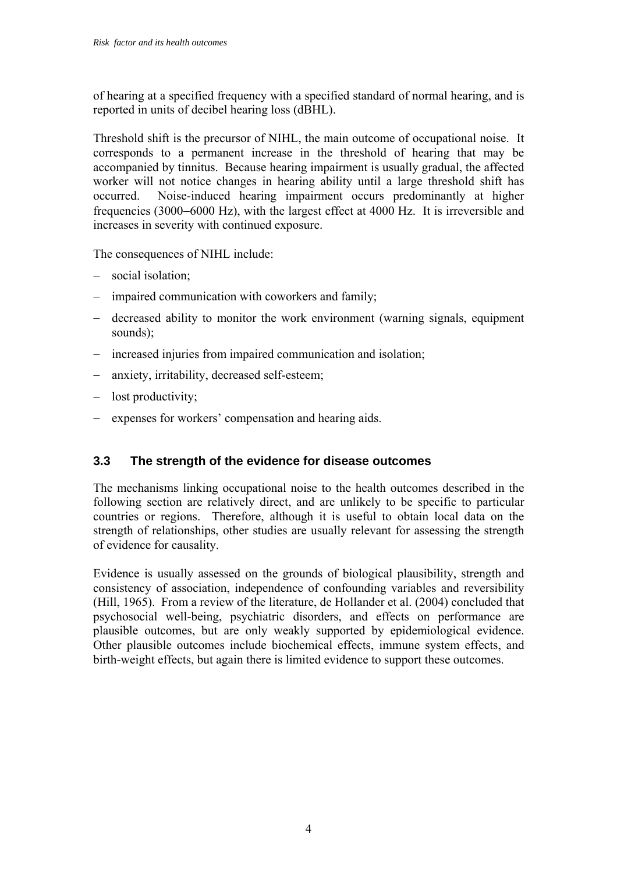of hearing at a specified frequency with a specified standard of normal hearing, and is reported in units of decibel hearing loss (dBHL).

Threshold shift is the precursor of NIHL, the main outcome of occupational noise. It corresponds to a permanent increase in the threshold of hearing that may be accompanied by tinnitus. Because hearing impairment is usually gradual, the affected worker will not notice changes in hearing ability until a large threshold shift has occurred. Noise-induced hearing impairment occurs predominantly at higher frequencies (3000−6000 Hz), with the largest effect at 4000 Hz. It is irreversible and increases in severity with continued exposure.

The consequences of NIHL include:

- − social isolation;
- − impaired communication with coworkers and family;
- − decreased ability to monitor the work environment (warning signals, equipment sounds);
- − increased injuries from impaired communication and isolation;
- − anxiety, irritability, decreased self-esteem;
- − lost productivity;
- − expenses for workers' compensation and hearing aids.

#### **3.3 The strength of the evidence for disease outcomes**

The mechanisms linking occupational noise to the health outcomes described in the following section are relatively direct, and are unlikely to be specific to particular countries or regions. Therefore, although it is useful to obtain local data on the strength of relationships, other studies are usually relevant for assessing the strength of evidence for causality.

Evidence is usually assessed on the grounds of biological plausibility, strength and consistency of association, independence of confounding variables and reversibility (Hill, 1965). From a review of the literature, de Hollander et al. (2004) concluded that psychosocial well-being, psychiatric disorders, and effects on performance are plausible outcomes, but are only weakly supported by epidemiological evidence. Other plausible outcomes include biochemical effects, immune system effects, and birth-weight effects, but again there is limited evidence to support these outcomes.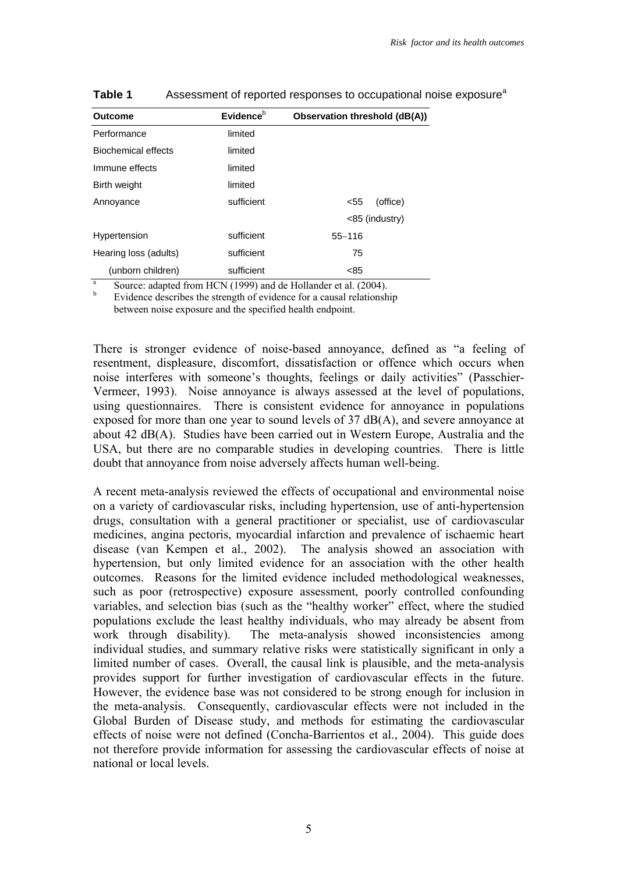| <b>Outcome</b>        | Evidence <sup>b</sup> | Observation threshold (dB(A)) |
|-----------------------|-----------------------|-------------------------------|
| Performance           | limited               |                               |
| Biochemical effects   | limited               |                               |
| Immune effects        | limited               |                               |
| Birth weight          | limited               |                               |
| Annoyance             | sufficient            | (office)<br>$55$              |
|                       |                       | $<$ 85 (industry)             |
| Hypertension          | sufficient            | $55 - 116$                    |
| Hearing loss (adults) | sufficient            | 75                            |
| (unborn children)     | sufficient            | < 85                          |

Table 1 Assessment of reported responses to occupational noise exposure<sup>a</sup>

 $\overline{\phantom{a}}$  Source: adapted from HCN (1999) and de Hollander et al. (2004). b

Evidence describes the strength of evidence for a causal relationship

between noise exposure and the specified health endpoint.

There is stronger evidence of noise-based annoyance, defined as "a feeling of resentment, displeasure, discomfort, dissatisfaction or offence which occurs when noise interferes with someone's thoughts, feelings or daily activities" (Passchier-Vermeer, 1993). Noise annoyance is always assessed at the level of populations, using questionnaires. There is consistent evidence for annoyance in populations exposed for more than one year to sound levels of 37 dB(A), and severe annoyance at about 42 dB(A). Studies have been carried out in Western Europe, Australia and the USA, but there are no comparable studies in developing countries. There is little doubt that annoyance from noise adversely affects human well-being.

A recent meta-analysis reviewed the effects of occupational and environmental noise on a variety of cardiovascular risks, including hypertension, use of anti-hypertension drugs, consultation with a general practitioner or specialist, use of cardiovascular medicines, angina pectoris, myocardial infarction and prevalence of ischaemic heart disease (van Kempen et al., 2002). The analysis showed an association with hypertension, but only limited evidence for an association with the other health outcomes. Reasons for the limited evidence included methodological weaknesses, such as poor (retrospective) exposure assessment, poorly controlled confounding variables, and selection bias (such as the "healthy worker" effect, where the studied populations exclude the least healthy individuals, who may already be absent from work through disability). The meta-analysis showed inconsistencies among individual studies, and summary relative risks were statistically significant in only a limited number of cases. Overall, the causal link is plausible, and the meta-analysis provides support for further investigation of cardiovascular effects in the future. However, the evidence base was not considered to be strong enough for inclusion in the meta-analysis. Consequently, cardiovascular effects were not included in the Global Burden of Disease study, and methods for estimating the cardiovascular effects of noise were not defined (Concha-Barrientos et al., 2004). This guide does not therefore provide information for assessing the cardiovascular effects of noise at national or local levels.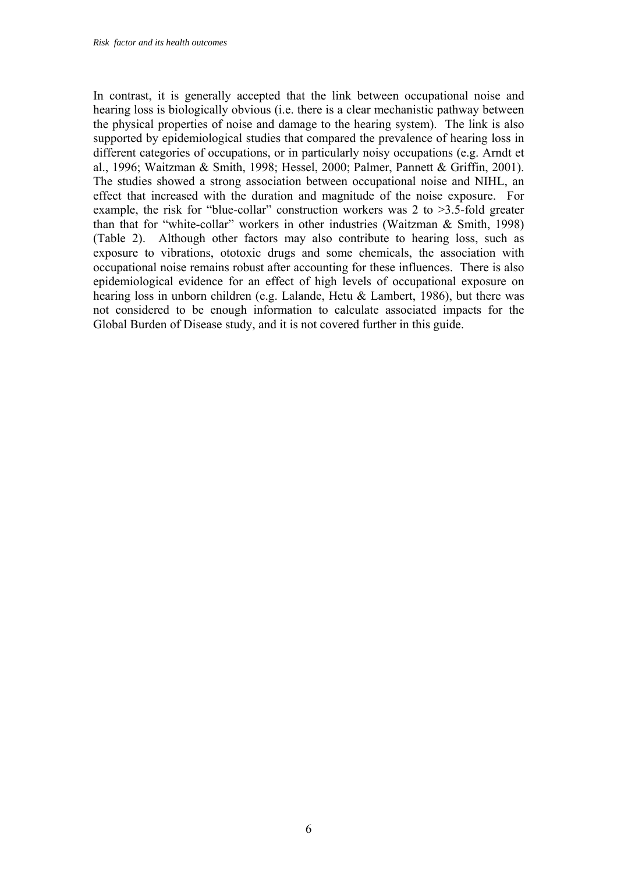In contrast, it is generally accepted that the link between occupational noise and hearing loss is biologically obvious (i.e. there is a clear mechanistic pathway between the physical properties of noise and damage to the hearing system). The link is also supported by epidemiological studies that compared the prevalence of hearing loss in different categories of occupations, or in particularly noisy occupations (e.g. Arndt et al., 1996; Waitzman & Smith, 1998; Hessel, 2000; Palmer, Pannett & Griffin, 2001). The studies showed a strong association between occupational noise and NIHL, an effect that increased with the duration and magnitude of the noise exposure. For example, the risk for "blue-collar" construction workers was 2 to >3.5-fold greater than that for "white-collar" workers in other industries (Waitzman & Smith, 1998) (Table 2). Although other factors may also contribute to hearing loss, such as exposure to vibrations, ototoxic drugs and some chemicals, the association with occupational noise remains robust after accounting for these influences. There is also epidemiological evidence for an effect of high levels of occupational exposure on hearing loss in unborn children (e.g. Lalande, Hetu & Lambert, 1986), but there was not considered to be enough information to calculate associated impacts for the Global Burden of Disease study, and it is not covered further in this guide.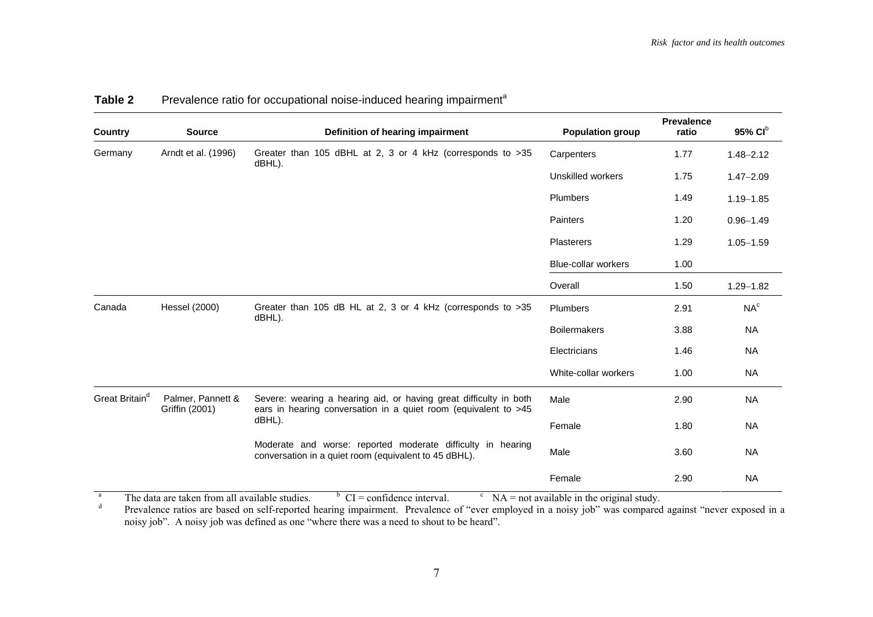| <b>Country</b>             | <b>Source</b>                                                                                                                                                               | Definition of hearing impairment                                                                                     | <b>Population group</b>    | <b>Prevalence</b><br>ratio | 95% CI <sup>b</sup> |
|----------------------------|-----------------------------------------------------------------------------------------------------------------------------------------------------------------------------|----------------------------------------------------------------------------------------------------------------------|----------------------------|----------------------------|---------------------|
| Germany                    | Arndt et al. (1996)                                                                                                                                                         | Greater than 105 dBHL at 2, 3 or 4 kHz (corresponds to >35<br>dBHL).                                                 | Carpenters                 | 1.77                       | $1.48 - 2.12$       |
|                            |                                                                                                                                                                             |                                                                                                                      | Unskilled workers          | 1.75                       | $1.47 - 2.09$       |
|                            |                                                                                                                                                                             |                                                                                                                      | Plumbers                   | 1.49                       | $1.19 - 1.85$       |
|                            |                                                                                                                                                                             |                                                                                                                      | Painters                   | 1.20                       | $0.96 - 1.49$       |
|                            |                                                                                                                                                                             |                                                                                                                      | Plasterers                 | 1.29                       | $1.05 - 1.59$       |
|                            |                                                                                                                                                                             |                                                                                                                      | <b>Blue-collar workers</b> | 1.00                       |                     |
|                            |                                                                                                                                                                             |                                                                                                                      | Overall                    | 1.50                       | $1.29 - 1.82$       |
| Canada                     | <b>Hessel (2000)</b>                                                                                                                                                        | Greater than 105 dB HL at 2, 3 or 4 kHz (corresponds to >35<br>dBHL).                                                | <b>Plumbers</b>            | 2.91                       | NA <sup>c</sup>     |
|                            |                                                                                                                                                                             |                                                                                                                      | <b>Boilermakers</b>        | 3.88                       | <b>NA</b>           |
|                            |                                                                                                                                                                             |                                                                                                                      | Electricians               | 1.46                       | <b>NA</b>           |
|                            |                                                                                                                                                                             |                                                                                                                      | White-collar workers       | 1.00                       | <b>NA</b>           |
| Great Britain <sup>d</sup> | Palmer, Pannett &<br>Severe: wearing a hearing aid, or having great difficulty in both<br>Griffin (2001)<br>ears in hearing conversation in a quiet room (equivalent to >45 |                                                                                                                      | Male                       | 2.90                       | <b>NA</b>           |
|                            |                                                                                                                                                                             | dBHL).                                                                                                               | Female                     | 1.80                       | <b>NA</b>           |
|                            |                                                                                                                                                                             | Moderate and worse: reported moderate difficulty in hearing<br>conversation in a quiet room (equivalent to 45 dBHL). | Male                       | 3.60                       | <b>NA</b>           |
|                            |                                                                                                                                                                             |                                                                                                                      | Female                     | 2.90                       | <b>NA</b>           |

#### **Table 2** Prevalence ratio for occupational noise-induced hearing impairment<sup>a</sup>

<sup>a</sup> The data are taken from all available studies.  $\overrightarrow{C}$  CI = confidence interval.  $\overrightarrow{C}$  NA = not available in the original study.

Prevalence ratios are based on self-reported hearing impairment. Prevalence of "ever employed in a noisy job" was compared against "never exposed in a noisy job". A noisy job was defined as one "where there was a need to shout to be heard".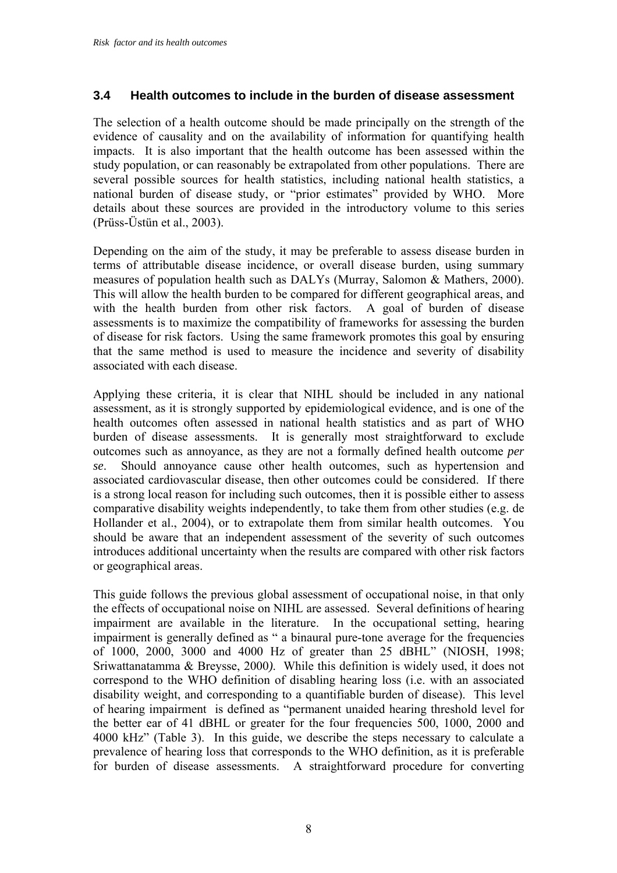### **3.4 Health outcomes to include in the burden of disease assessment**

The selection of a health outcome should be made principally on the strength of the evidence of causality and on the availability of information for quantifying health impacts. It is also important that the health outcome has been assessed within the study population, or can reasonably be extrapolated from other populations. There are several possible sources for health statistics, including national health statistics, a national burden of disease study, or "prior estimates" provided by WHO. More details about these sources are provided in the introductory volume to this series (Prüss-Üstün et al., 2003).

Depending on the aim of the study, it may be preferable to assess disease burden in terms of attributable disease incidence, or overall disease burden, using summary measures of population health such as DALYs (Murray, Salomon & Mathers, 2000). This will allow the health burden to be compared for different geographical areas, and with the health burden from other risk factors. A goal of burden of disease assessments is to maximize the compatibility of frameworks for assessing the burden of disease for risk factors. Using the same framework promotes this goal by ensuring that the same method is used to measure the incidence and severity of disability associated with each disease.

Applying these criteria, it is clear that NIHL should be included in any national assessment, as it is strongly supported by epidemiological evidence, and is one of the health outcomes often assessed in national health statistics and as part of WHO burden of disease assessments. It is generally most straightforward to exclude outcomes such as annoyance, as they are not a formally defined health outcome *per se*. Should annoyance cause other health outcomes, such as hypertension and associated cardiovascular disease, then other outcomes could be considered. If there is a strong local reason for including such outcomes, then it is possible either to assess comparative disability weights independently, to take them from other studies (e.g. de Hollander et al., 2004), or to extrapolate them from similar health outcomes. You should be aware that an independent assessment of the severity of such outcomes introduces additional uncertainty when the results are compared with other risk factors or geographical areas.

This guide follows the previous global assessment of occupational noise, in that only the effects of occupational noise on NIHL are assessed. Several definitions of hearing impairment are available in the literature. In the occupational setting, hearing impairment is generally defined as " a binaural pure-tone average for the frequencies of 1000, 2000, 3000 and 4000 Hz of greater than 25 dBHL" (NIOSH, 1998; Sriwattanatamma & Breysse, 2000*)*. While this definition is widely used, it does not correspond to the WHO definition of disabling hearing loss (i.e. with an associated disability weight, and corresponding to a quantifiable burden of disease). This level of hearing impairment is defined as "permanent unaided hearing threshold level for the better ear of 41 dBHL or greater for the four frequencies 500, 1000, 2000 and 4000 kHz" (Table 3). In this guide, we describe the steps necessary to calculate a prevalence of hearing loss that corresponds to the WHO definition, as it is preferable for burden of disease assessments. A straightforward procedure for converting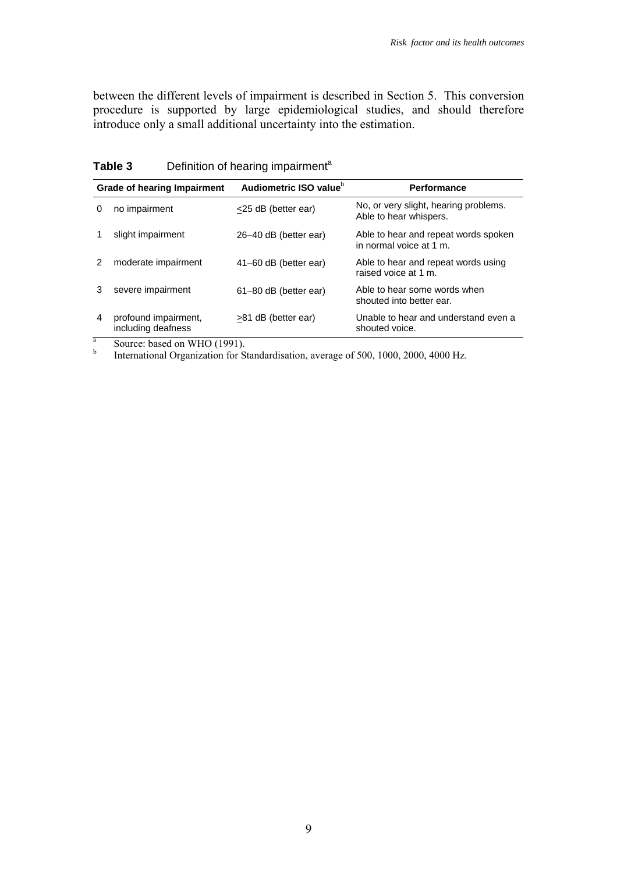between the different levels of impairment is described in Section 5. This conversion procedure is supported by large epidemiological studies, and should therefore introduce only a small additional uncertainty into the estimation.

|               | rapie o                                    | Delimition of nearing impairment   |                                                                 |  |
|---------------|--------------------------------------------|------------------------------------|-----------------------------------------------------------------|--|
|               | <b>Grade of hearing Impairment</b>         | Audiometric ISO value <sup>b</sup> | <b>Performance</b>                                              |  |
| $\Omega$      | no impairment                              | <25 dB (better ear)                | No, or very slight, hearing problems.<br>Able to hear whispers. |  |
|               | slight impairment                          | 26–40 dB (better ear)              | Able to hear and repeat words spoken<br>in normal voice at 1 m. |  |
| $\mathcal{P}$ | moderate impairment                        | 41-60 dB (better ear)              | Able to hear and repeat words using<br>raised voice at 1 m.     |  |
| 3             | severe impairment                          | 61-80 dB (better ear)              | Able to hear some words when<br>shouted into better ear.        |  |
| 4             | profound impairment,<br>including deafness | >81 dB (better ear)                | Unable to hear and understand even a<br>shouted voice.          |  |

**Table 3** Definition of hearing impairment<sup>a</sup>

 $\frac{a}{b}$  Source: based on WHO (1991).

b International Organization for Standardisation, average of 500, 1000, 2000, 4000 Hz.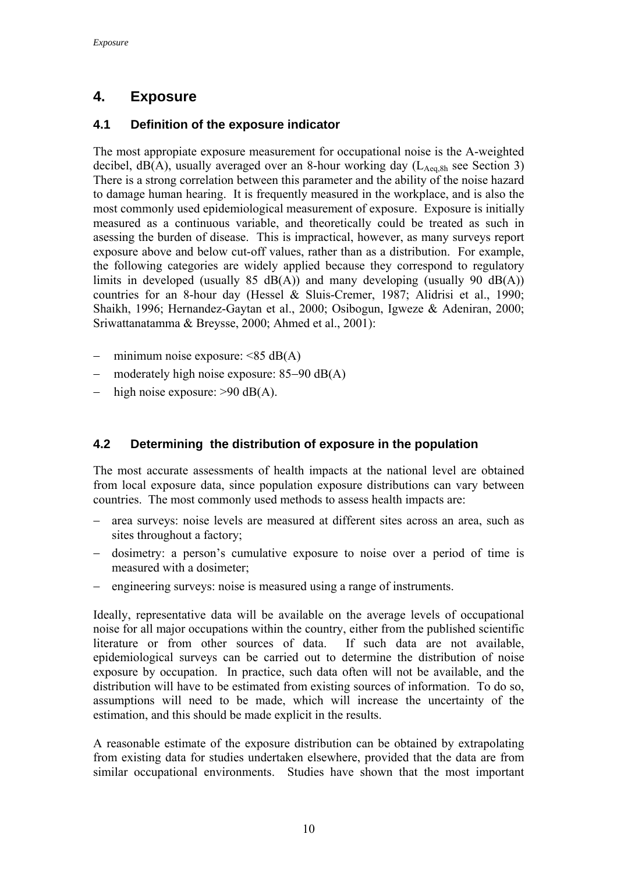### **4. Exposure**

### **4.1 Definition of the exposure indicator**

The most appropiate exposure measurement for occupational noise is the A-weighted decibel,  $dB(A)$ , usually averaged over an 8-hour working day ( $L_{Aea,8h}$  see Section 3) There is a strong correlation between this parameter and the ability of the noise hazard to damage human hearing. It is frequently measured in the workplace, and is also the most commonly used epidemiological measurement of exposure. Exposure is initially measured as a continuous variable, and theoretically could be treated as such in asessing the burden of disease. This is impractical, however, as many surveys report exposure above and below cut-off values, rather than as a distribution. For example, the following categories are widely applied because they correspond to regulatory limits in developed (usually 85  $dB(A)$ ) and many developing (usually 90  $dB(A)$ ) countries for an 8-hour day (Hessel & Sluis-Cremer, 1987; Alidrisi et al., 1990; Shaikh, 1996; Hernandez-Gaytan et al., 2000; Osibogun, Igweze & Adeniran, 2000; Sriwattanatamma & Breysse, 2000; Ahmed et al., 2001):

- − minimum noise exposure: <85 dB(A)
- − moderately high noise exposure: 85−90 dB(A)
- − high noise exposure: >90 dB(A).

### **4.2 Determining the distribution of exposure in the population**

The most accurate assessments of health impacts at the national level are obtained from local exposure data, since population exposure distributions can vary between countries. The most commonly used methods to assess health impacts are:

- − area surveys: noise levels are measured at different sites across an area, such as sites throughout a factory;
- − dosimetry: a person's cumulative exposure to noise over a period of time is measured with a dosimeter;
- − engineering surveys: noise is measured using a range of instruments.

Ideally, representative data will be available on the average levels of occupational noise for all major occupations within the country, either from the published scientific literature or from other sources of data. If such data are not available, epidemiological surveys can be carried out to determine the distribution of noise exposure by occupation. In practice, such data often will not be available, and the distribution will have to be estimated from existing sources of information. To do so, assumptions will need to be made, which will increase the uncertainty of the estimation, and this should be made explicit in the results.

A reasonable estimate of the exposure distribution can be obtained by extrapolating from existing data for studies undertaken elsewhere, provided that the data are from similar occupational environments. Studies have shown that the most important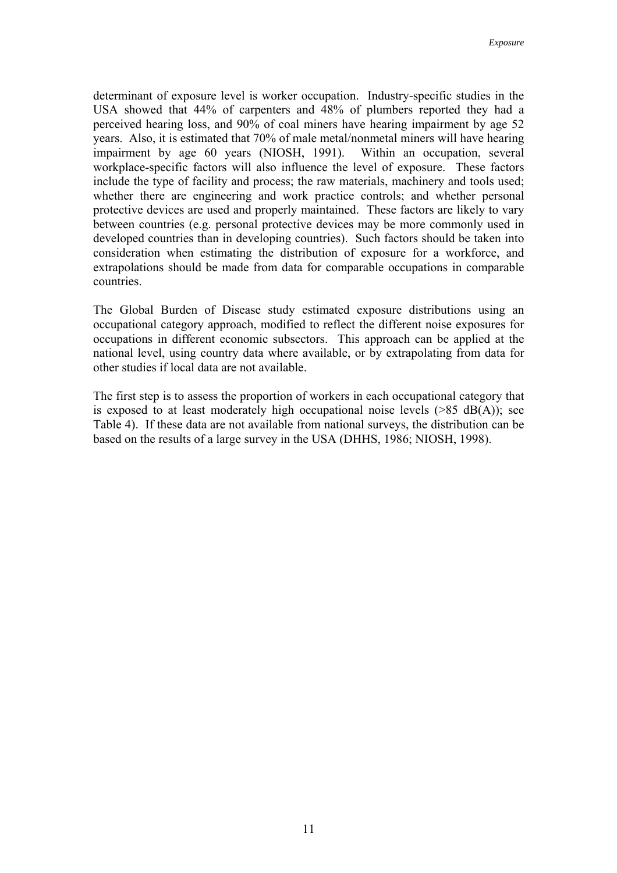determinant of exposure level is worker occupation. Industry-specific studies in the USA showed that 44% of carpenters and 48% of plumbers reported they had a perceived hearing loss, and 90% of coal miners have hearing impairment by age 52 years. Also, it is estimated that 70% of male metal/nonmetal miners will have hearing impairment by age 60 years (NIOSH, 1991). Within an occupation, several workplace-specific factors will also influence the level of exposure. These factors include the type of facility and process; the raw materials, machinery and tools used; whether there are engineering and work practice controls; and whether personal protective devices are used and properly maintained. These factors are likely to vary between countries (e.g. personal protective devices may be more commonly used in developed countries than in developing countries). Such factors should be taken into consideration when estimating the distribution of exposure for a workforce, and extrapolations should be made from data for comparable occupations in comparable countries.

The Global Burden of Disease study estimated exposure distributions using an occupational category approach, modified to reflect the different noise exposures for occupations in different economic subsectors. This approach can be applied at the national level, using country data where available, or by extrapolating from data for other studies if local data are not available.

The first step is to assess the proportion of workers in each occupational category that is exposed to at least moderately high occupational noise levels  $(>85 \text{ dB}(A))$ ; see Table 4). If these data are not available from national surveys, the distribution can be based on the results of a large survey in the USA (DHHS, 1986; NIOSH, 1998).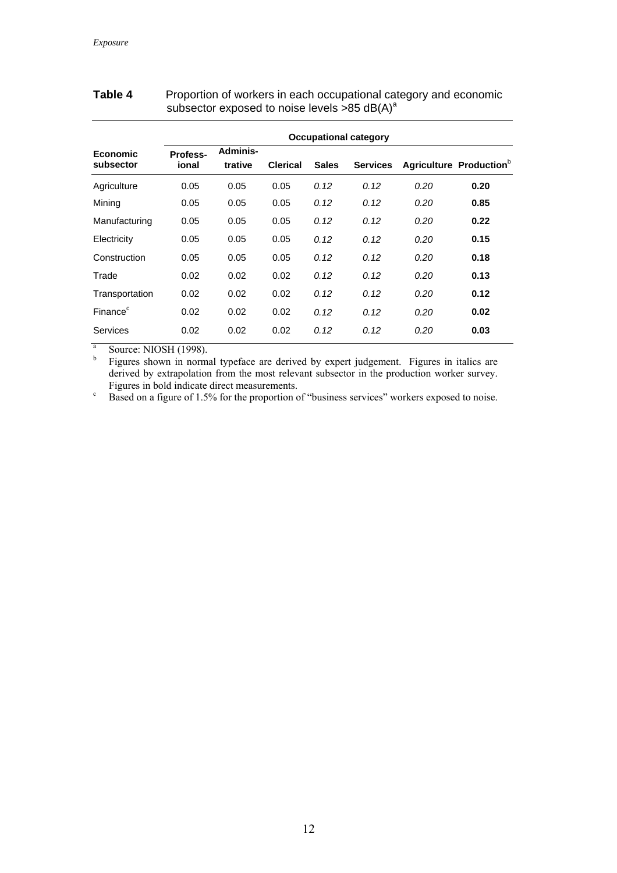|                              | <b>Occupational category</b> |                     |                 |              |                 |      |                                     |
|------------------------------|------------------------------|---------------------|-----------------|--------------|-----------------|------|-------------------------------------|
| <b>Economic</b><br>subsector | Profess-<br>ional            | Adminis-<br>trative | <b>Clerical</b> | <b>Sales</b> | <b>Services</b> |      | Agriculture Production <sup>b</sup> |
| Agriculture                  | 0.05                         | 0.05                | 0.05            | 0.12         | 0.12            | 0.20 | 0.20                                |
| Mining                       | 0.05                         | 0.05                | 0.05            | 0.12         | 0.12            | 0.20 | 0.85                                |
| Manufacturing                | 0.05                         | 0.05                | 0.05            | 0.12         | 0.12            | 0.20 | 0.22                                |
| Electricity                  | 0.05                         | 0.05                | 0.05            | 0.12         | 0.12            | 0.20 | 0.15                                |
| Construction                 | 0.05                         | 0.05                | 0.05            | 0.12         | 0.12            | 0.20 | 0.18                                |
| Trade                        | 0.02                         | 0.02                | 0.02            | 0.12         | 0.12            | 0.20 | 0.13                                |
| Transportation               | 0.02                         | 0.02                | 0.02            | 0.12         | 0.12            | 0.20 | 0.12                                |
| Finance <sup>c</sup>         | 0.02                         | 0.02                | 0.02            | 0.12         | 0.12            | 0.20 | 0.02                                |
| Services                     | 0.02                         | 0.02                | 0.02            | 0.12         | 0.12            | 0.20 | 0.03                                |

#### **Table 4** Proportion of workers in each occupational category and economic subsector exposed to noise levels  $>85$  dB(A)<sup>a</sup>

 $a$  Source: NIOSH (1998).

b Figures shown in normal typeface are derived by expert judgement. Figures in italics are derived by extrapolation from the most relevant subsector in the production worker survey.<br>Figures in bold indicate direct measurements.

 $\degree$  Based on a figure of 1.5% for the proportion of "business services" workers exposed to noise.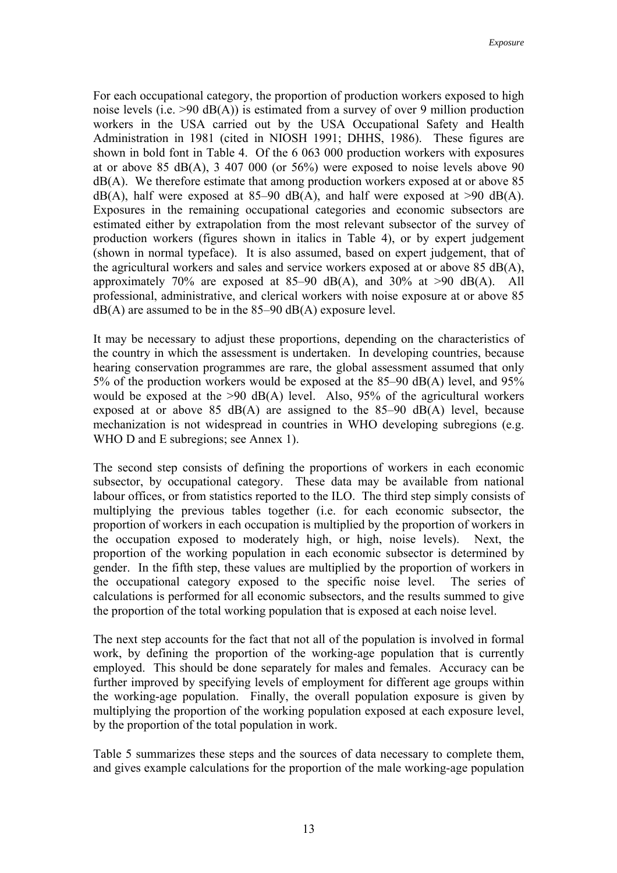For each occupational category, the proportion of production workers exposed to high noise levels (i.e.  $>90$  dB(A)) is estimated from a survey of over 9 million production workers in the USA carried out by the USA Occupational Safety and Health Administration in 1981 (cited in NIOSH 1991; DHHS, 1986). These figures are shown in bold font in Table 4. Of the 6 063 000 production workers with exposures at or above 85 dB(A), 3 407 000 (or 56%) were exposed to noise levels above 90 dB(A). We therefore estimate that among production workers exposed at or above 85  $dB(A)$ , half were exposed at 85–90 dB(A), and half were exposed at >90 dB(A). Exposures in the remaining occupational categories and economic subsectors are estimated either by extrapolation from the most relevant subsector of the survey of production workers (figures shown in italics in Table 4), or by expert judgement (shown in normal typeface). It is also assumed, based on expert judgement, that of the agricultural workers and sales and service workers exposed at or above 85 dB(A), approximately 70% are exposed at 85–90 dB(A), and 30% at >90 dB(A). All professional, administrative, and clerical workers with noise exposure at or above 85  $dB(A)$  are assumed to be in the 85–90 dB(A) exposure level.

It may be necessary to adjust these proportions, depending on the characteristics of the country in which the assessment is undertaken. In developing countries, because hearing conservation programmes are rare, the global assessment assumed that only 5% of the production workers would be exposed at the 85–90 dB(A) level, and 95% would be exposed at the >90 dB(A) level. Also, 95% of the agricultural workers exposed at or above 85 dB(A) are assigned to the  $85-90$  dB(A) level, because mechanization is not widespread in countries in WHO developing subregions (e.g. WHO D and E subregions; see Annex 1).

The second step consists of defining the proportions of workers in each economic subsector, by occupational category. These data may be available from national labour offices, or from statistics reported to the ILO. The third step simply consists of multiplying the previous tables together (i.e. for each economic subsector, the proportion of workers in each occupation is multiplied by the proportion of workers in the occupation exposed to moderately high, or high, noise levels). Next, the proportion of the working population in each economic subsector is determined by gender. In the fifth step, these values are multiplied by the proportion of workers in the occupational category exposed to the specific noise level. The series of calculations is performed for all economic subsectors, and the results summed to give the proportion of the total working population that is exposed at each noise level.

The next step accounts for the fact that not all of the population is involved in formal work, by defining the proportion of the working-age population that is currently employed. This should be done separately for males and females. Accuracy can be further improved by specifying levels of employment for different age groups within the working-age population. Finally, the overall population exposure is given by multiplying the proportion of the working population exposed at each exposure level, by the proportion of the total population in work.

Table 5 summarizes these steps and the sources of data necessary to complete them, and gives example calculations for the proportion of the male working-age population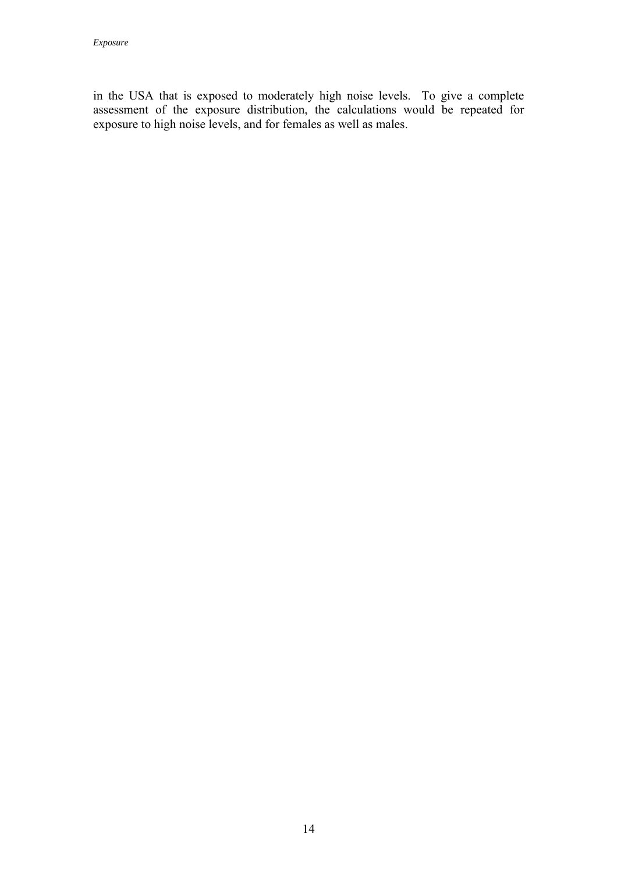in the USA that is exposed to moderately high noise levels. To give a complete assessment of the exposure distribution, the calculations would be repeated for exposure to high noise levels, and for females as well as males.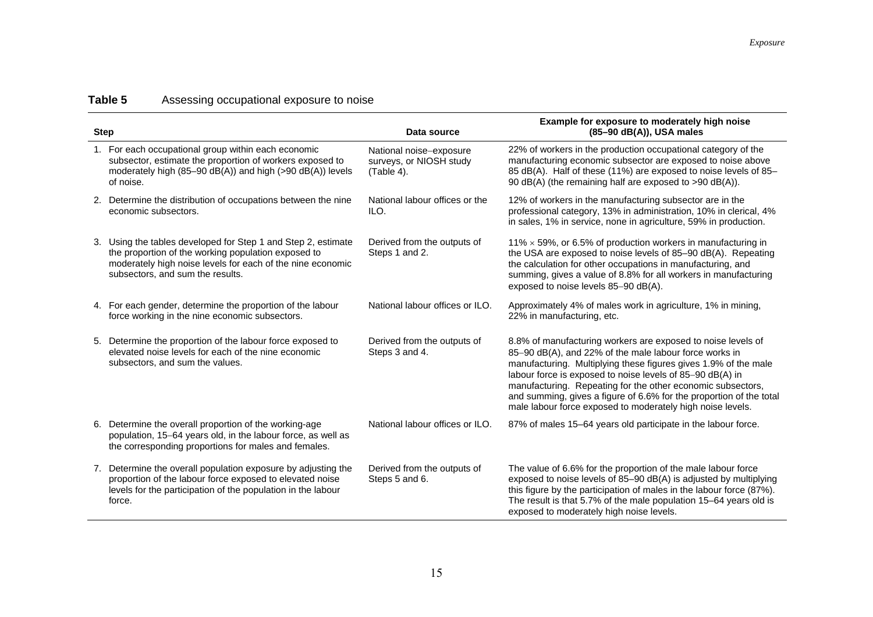#### **Table5** Assessing occupational exposure to noise

| <b>Step</b>                                                                                                                                                                                                            | Data source                                                      | Example for exposure to moderately high noise<br>(85-90 dB(A)), USA males                                                                                                                                                                                                                                                                                                                                                                                  |
|------------------------------------------------------------------------------------------------------------------------------------------------------------------------------------------------------------------------|------------------------------------------------------------------|------------------------------------------------------------------------------------------------------------------------------------------------------------------------------------------------------------------------------------------------------------------------------------------------------------------------------------------------------------------------------------------------------------------------------------------------------------|
| 1. For each occupational group within each economic<br>subsector, estimate the proportion of workers exposed to<br>moderately high (85–90 dB(A)) and high (>90 dB(A)) levels<br>of noise.                              | National noise-exposure<br>surveys, or NIOSH study<br>(Table 4). | 22% of workers in the production occupational category of the<br>manufacturing economic subsector are exposed to noise above<br>85 dB(A). Half of these (11%) are exposed to noise levels of 85-<br>90 dB(A) (the remaining half are exposed to >90 dB(A)).                                                                                                                                                                                                |
| 2. Determine the distribution of occupations between the nine<br>economic subsectors.                                                                                                                                  | National labour offices or the<br>ILO.                           | 12% of workers in the manufacturing subsector are in the<br>professional category, 13% in administration, 10% in clerical, 4%<br>in sales, 1% in service, none in agriculture, 59% in production.                                                                                                                                                                                                                                                          |
| 3. Using the tables developed for Step 1 and Step 2, estimate<br>the proportion of the working population exposed to<br>moderately high noise levels for each of the nine economic<br>subsectors, and sum the results. | Derived from the outputs of<br>Steps 1 and 2.                    | 11% $\times$ 59%, or 6.5% of production workers in manufacturing in<br>the USA are exposed to noise levels of 85-90 dB(A). Repeating<br>the calculation for other occupations in manufacturing, and<br>summing, gives a value of 8.8% for all workers in manufacturing<br>exposed to noise levels 85-90 dB(A).                                                                                                                                             |
| 4. For each gender, determine the proportion of the labour<br>force working in the nine economic subsectors.                                                                                                           | National labour offices or ILO.                                  | Approximately 4% of males work in agriculture, 1% in mining,<br>22% in manufacturing, etc.                                                                                                                                                                                                                                                                                                                                                                 |
| 5. Determine the proportion of the labour force exposed to<br>elevated noise levels for each of the nine economic<br>subsectors, and sum the values.                                                                   | Derived from the outputs of<br>Steps 3 and 4.                    | 8.8% of manufacturing workers are exposed to noise levels of<br>85-90 dB(A), and 22% of the male labour force works in<br>manufacturing. Multiplying these figures gives 1.9% of the male<br>labour force is exposed to noise levels of 85–90 dB(A) in<br>manufacturing. Repeating for the other economic subsectors,<br>and summing, gives a figure of 6.6% for the proportion of the total<br>male labour force exposed to moderately high noise levels. |
| 6. Determine the overall proportion of the working-age<br>population, 15-64 years old, in the labour force, as well as<br>the corresponding proportions for males and females.                                         | National labour offices or ILO.                                  | 87% of males 15–64 years old participate in the labour force.                                                                                                                                                                                                                                                                                                                                                                                              |
| 7. Determine the overall population exposure by adjusting the<br>proportion of the labour force exposed to elevated noise<br>levels for the participation of the population in the labour<br>force.                    | Derived from the outputs of<br>Steps 5 and 6.                    | The value of 6.6% for the proportion of the male labour force<br>exposed to noise levels of 85–90 dB(A) is adjusted by multiplying<br>this figure by the participation of males in the labour force (87%).<br>The result is that 5.7% of the male population 15-64 years old is<br>exposed to moderately high noise levels.                                                                                                                                |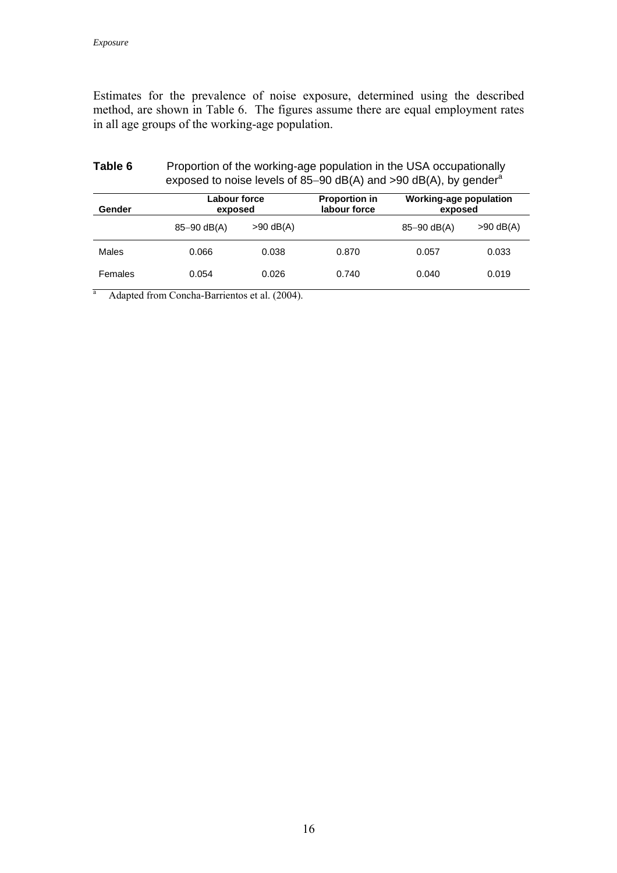Estimates for the prevalence of noise exposure, determined using the described method, are shown in Table 6. The figures assume there are equal employment rates in all age groups of the working-age population.

| Table 6 | Proportion of the working-age population in the USA occupationally                |
|---------|-----------------------------------------------------------------------------------|
|         | exposed to noise levels of 85–90 $dB(A)$ and >90 $dB(A)$ , by gender <sup>a</sup> |

| Gender  | Labour force<br>exposed |             | <b>Proportion in</b><br>labour force | <b>Working-age population</b><br>exposed |             |  |
|---------|-------------------------|-------------|--------------------------------------|------------------------------------------|-------------|--|
|         | $85 - 90$ dB(A)         | $>90$ dB(A) |                                      | $85 - 90$ dB(A)                          | $>90$ dB(A) |  |
| Males   | 0.066                   | 0.038       | 0.870                                | 0.057                                    | 0.033       |  |
| Females | 0.054                   | 0.026       | 0.740                                | 0.040                                    | 0.019       |  |

<sup>a</sup> Adapted from Concha-Barrientos et al. (2004).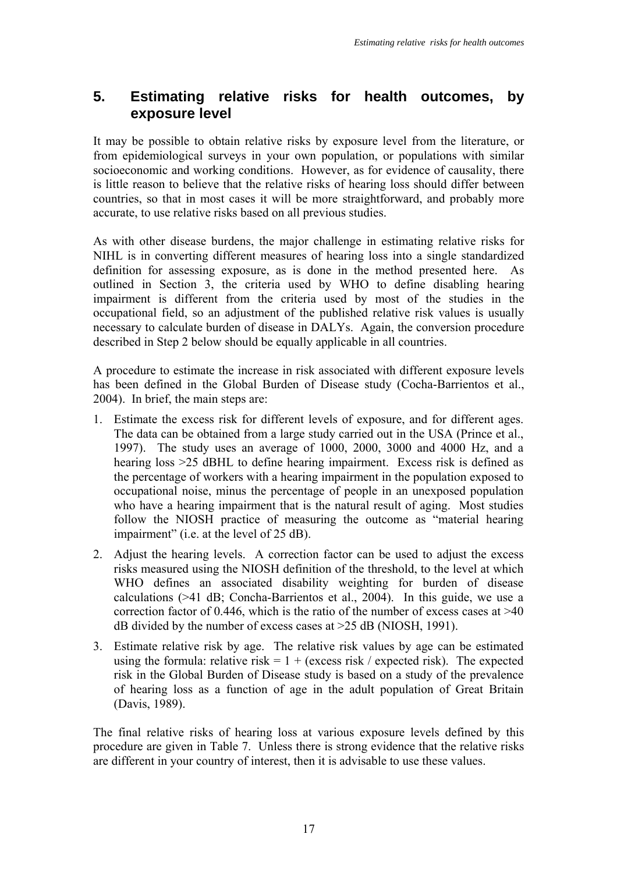### **5. Estimating relative risks for health outcomes, by exposure level**

It may be possible to obtain relative risks by exposure level from the literature, or from epidemiological surveys in your own population, or populations with similar socioeconomic and working conditions. However, as for evidence of causality, there is little reason to believe that the relative risks of hearing loss should differ between countries, so that in most cases it will be more straightforward, and probably more accurate, to use relative risks based on all previous studies.

As with other disease burdens, the major challenge in estimating relative risks for NIHL is in converting different measures of hearing loss into a single standardized definition for assessing exposure, as is done in the method presented here. As outlined in Section 3, the criteria used by WHO to define disabling hearing impairment is different from the criteria used by most of the studies in the occupational field, so an adjustment of the published relative risk values is usually necessary to calculate burden of disease in DALYs. Again, the conversion procedure described in Step 2 below should be equally applicable in all countries.

A procedure to estimate the increase in risk associated with different exposure levels has been defined in the Global Burden of Disease study (Cocha-Barrientos et al., 2004). In brief, the main steps are:

- 1. Estimate the excess risk for different levels of exposure, and for different ages. The data can be obtained from a large study carried out in the USA (Prince et al., 1997). The study uses an average of 1000, 2000, 3000 and 4000 Hz, and a hearing loss  $>25$  dBHL to define hearing impairment. Excess risk is defined as the percentage of workers with a hearing impairment in the population exposed to occupational noise, minus the percentage of people in an unexposed population who have a hearing impairment that is the natural result of aging. Most studies follow the NIOSH practice of measuring the outcome as "material hearing impairment" (i.e. at the level of 25 dB).
- 2. Adjust the hearing levels. A correction factor can be used to adjust the excess risks measured using the NIOSH definition of the threshold, to the level at which WHO defines an associated disability weighting for burden of disease calculations (>41 dB; Concha-Barrientos et al., 2004). In this guide, we use a correction factor of 0.446, which is the ratio of the number of excess cases at  $>40$ dB divided by the number of excess cases at >25 dB (NIOSH, 1991).
- 3. Estimate relative risk by age. The relative risk values by age can be estimated using the formula: relative risk =  $1 + ($ excess risk / expected risk). The expected risk in the Global Burden of Disease study is based on a study of the prevalence of hearing loss as a function of age in the adult population of Great Britain (Davis, 1989).

The final relative risks of hearing loss at various exposure levels defined by this procedure are given in Table 7. Unless there is strong evidence that the relative risks are different in your country of interest, then it is advisable to use these values.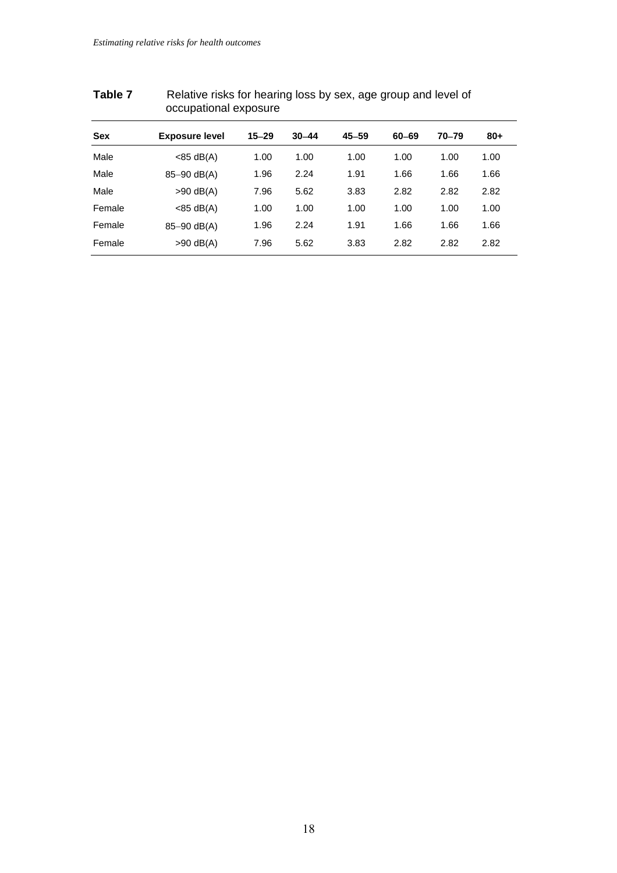| Table 7 | Relative risks for hearing loss by sex, age group and level of<br>occupational exposure |
|---------|-----------------------------------------------------------------------------------------|
|         |                                                                                         |

| <b>Sex</b> | <b>Exposure level</b> | $15 - 29$ | $30 - 44$ | $45 - 59$ | 60-69 | $70 - 79$ | $80+$ |
|------------|-----------------------|-----------|-----------|-----------|-------|-----------|-------|
| Male       | $<$ 85 dB $(A)$       | 1.00      | 1.00      | 1.00      | 1.00  | 1.00      | 1.00  |
| Male       | $85 - 90$ dB(A)       | 1.96      | 2.24      | 1.91      | 1.66  | 1.66      | 1.66  |
| Male       | $>90$ dB(A)           | 7.96      | 5.62      | 3.83      | 2.82  | 2.82      | 2.82  |
| Female     | $<$ 85 dB $(A)$       | 1.00      | 1.00      | 1.00      | 1.00  | 1.00      | 1.00  |
| Female     | $85 - 90$ dB(A)       | 1.96      | 2.24      | 1.91      | 1.66  | 1.66      | 1.66  |
| Female     | $>90$ dB(A)           | 7.96      | 5.62      | 3.83      | 2.82  | 2.82      | 2.82  |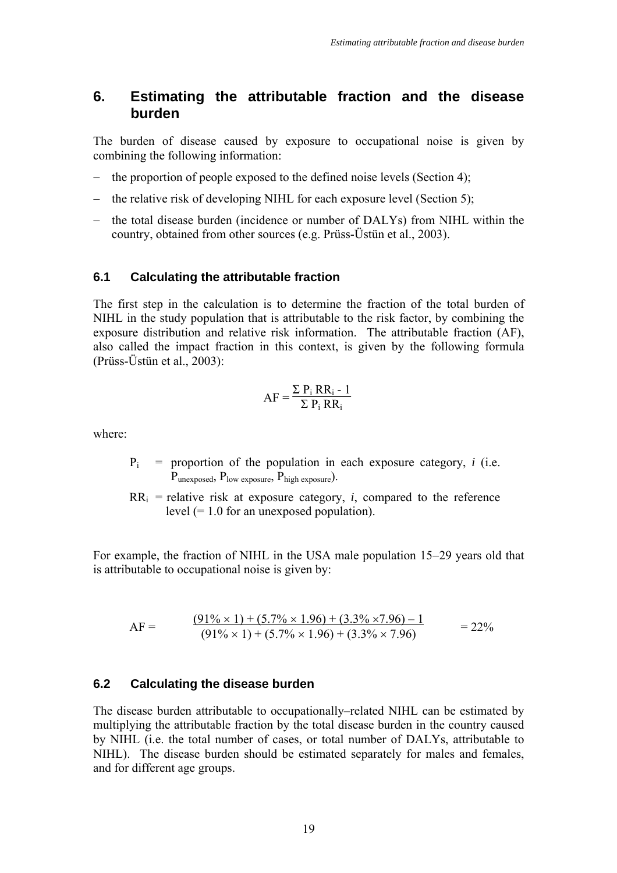### **6. Estimating the attributable fraction and the disease burden**

The burden of disease caused by exposure to occupational noise is given by combining the following information:

- − the proportion of people exposed to the defined noise levels (Section 4);
- − the relative risk of developing NIHL for each exposure level (Section 5);
- − the total disease burden (incidence or number of DALYs) from NIHL within the country, obtained from other sources (e.g. Prüss-Üstün et al., 2003).

#### **6.1 Calculating the attributable fraction**

The first step in the calculation is to determine the fraction of the total burden of NIHL in the study population that is attributable to the risk factor, by combining the exposure distribution and relative risk information. The attributable fraction (AF), also called the impact fraction in this context, is given by the following formula (Prüss-Üstün et al., 2003):

$$
AF = \frac{\sum P_i RR_i - 1}{\sum P_i RR_i}
$$

where:

- $P_i$  = proportion of the population in each exposure category, *i* (i.e.  $P_{\text{unexposed}}$ ,  $P_{\text{low exposure}}$ ,  $P_{\text{high exposure}}$ ).
- $RR_i$  = relative risk at exposure category, *i*, compared to the reference level (= 1.0 for an unexposed population).

For example, the fraction of NIHL in the USA male population 15−29 years old that is attributable to occupational noise is given by:

AF = 
$$
\frac{(91\% \times 1) + (5.7\% \times 1.96) + (3.3\% \times 7.96) - 1}{(91\% \times 1) + (5.7\% \times 1.96) + (3.3\% \times 7.96)} = 22\%
$$

#### **6.2 Calculating the disease burden**

The disease burden attributable to occupationally–related NIHL can be estimated by multiplying the attributable fraction by the total disease burden in the country caused by NIHL (i.e. the total number of cases, or total number of DALYs, attributable to NIHL). The disease burden should be estimated separately for males and females, and for different age groups.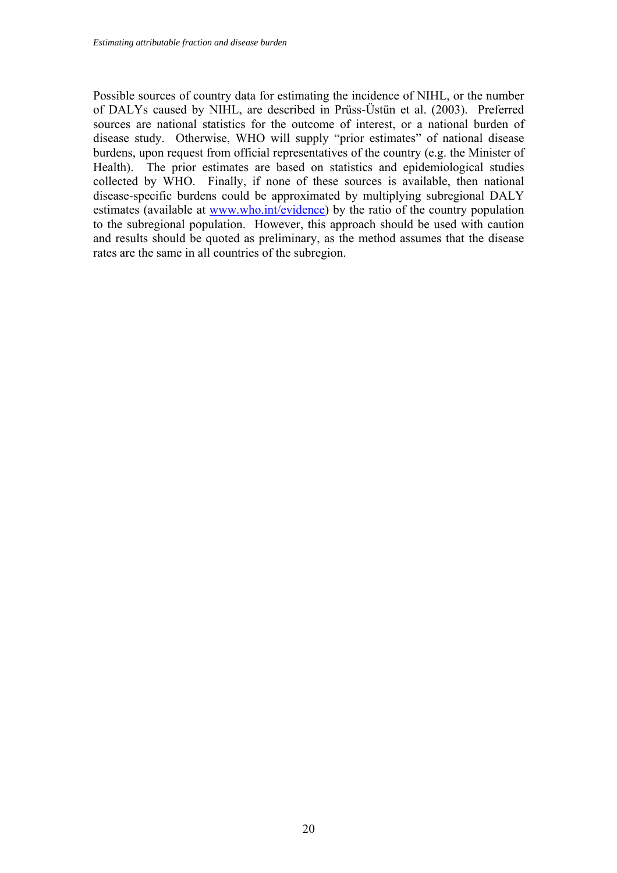Possible sources of country data for estimating the incidence of NIHL, or the number of DALYs caused by NIHL, are described in Prüss-Üstün et al. (2003). Preferred sources are national statistics for the outcome of interest, or a national burden of disease study. Otherwise, WHO will supply "prior estimates" of national disease burdens, upon request from official representatives of the country (e.g. the Minister of Health). The prior estimates are based on statistics and epidemiological studies collected by WHO. Finally, if none of these sources is available, then national disease-specific burdens could be approximated by multiplying subregional DALY estimates (available at www.who.int/evidence) by the ratio of the country population to the subregional population. However, this approach should be used with caution and results should be quoted as preliminary, as the method assumes that the disease rates are the same in all countries of the subregion.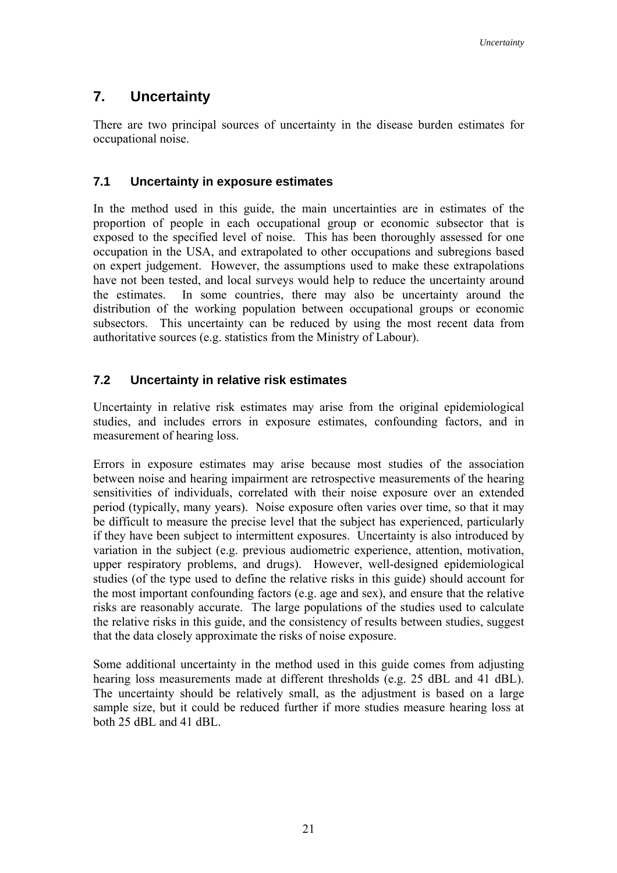### **7. Uncertainty**

There are two principal sources of uncertainty in the disease burden estimates for occupational noise.

#### **7.1 Uncertainty in exposure estimates**

In the method used in this guide, the main uncertainties are in estimates of the proportion of people in each occupational group or economic subsector that is exposed to the specified level of noise. This has been thoroughly assessed for one occupation in the USA, and extrapolated to other occupations and subregions based on expert judgement. However, the assumptions used to make these extrapolations have not been tested, and local surveys would help to reduce the uncertainty around the estimates. In some countries, there may also be uncertainty around the distribution of the working population between occupational groups or economic subsectors. This uncertainty can be reduced by using the most recent data from authoritative sources (e.g. statistics from the Ministry of Labour).

### **7.2 Uncertainty in relative risk estimates**

Uncertainty in relative risk estimates may arise from the original epidemiological studies, and includes errors in exposure estimates, confounding factors, and in measurement of hearing loss.

Errors in exposure estimates may arise because most studies of the association between noise and hearing impairment are retrospective measurements of the hearing sensitivities of individuals, correlated with their noise exposure over an extended period (typically, many years). Noise exposure often varies over time, so that it may be difficult to measure the precise level that the subject has experienced, particularly if they have been subject to intermittent exposures. Uncertainty is also introduced by variation in the subject (e.g. previous audiometric experience, attention, motivation, upper respiratory problems, and drugs). However, well-designed epidemiological studies (of the type used to define the relative risks in this guide) should account for the most important confounding factors (e.g. age and sex), and ensure that the relative risks are reasonably accurate. The large populations of the studies used to calculate the relative risks in this guide, and the consistency of results between studies, suggest that the data closely approximate the risks of noise exposure.

Some additional uncertainty in the method used in this guide comes from adjusting hearing loss measurements made at different thresholds (e.g. 25 dBL and 41 dBL). The uncertainty should be relatively small, as the adjustment is based on a large sample size, but it could be reduced further if more studies measure hearing loss at both 25 dBL and 41 dBL.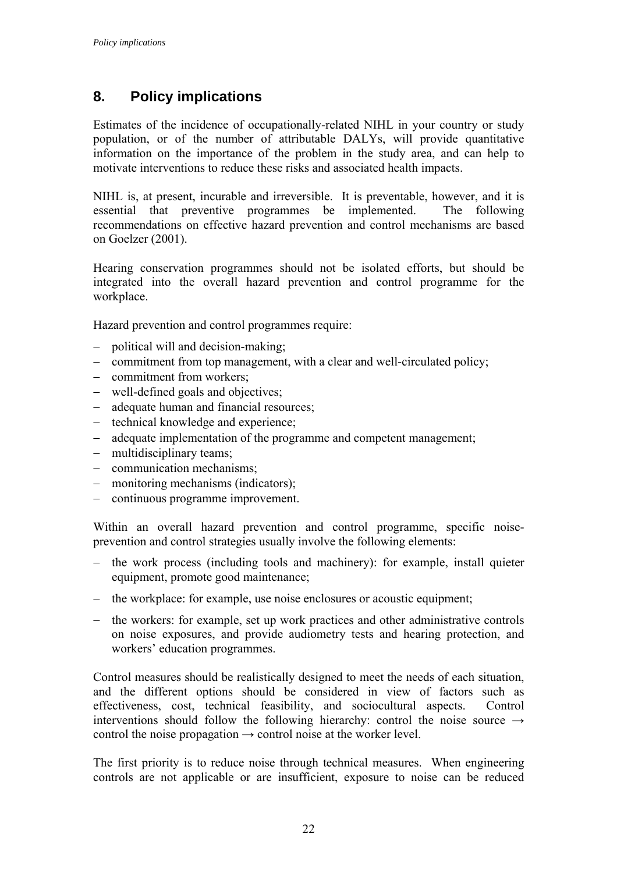### **8. Policy implications**

Estimates of the incidence of occupationally-related NIHL in your country or study population, or of the number of attributable DALYs, will provide quantitative information on the importance of the problem in the study area, and can help to motivate interventions to reduce these risks and associated health impacts.

NIHL is, at present, incurable and irreversible. It is preventable, however, and it is essential that preventive programmes be implemented. The following recommendations on effective hazard prevention and control mechanisms are based on Goelzer (2001).

Hearing conservation programmes should not be isolated efforts, but should be integrated into the overall hazard prevention and control programme for the workplace.

Hazard prevention and control programmes require:

- − political will and decision-making;
- − commitment from top management, with a clear and well-circulated policy;
- − commitment from workers;
- − well-defined goals and objectives;
- − adequate human and financial resources;
- − technical knowledge and experience;
- − adequate implementation of the programme and competent management;
- − multidisciplinary teams;
- − communication mechanisms;
- − monitoring mechanisms (indicators);
- − continuous programme improvement.

Within an overall hazard prevention and control programme, specific noiseprevention and control strategies usually involve the following elements:

- − the work process (including tools and machinery): for example, install quieter equipment, promote good maintenance;
- − the workplace: for example, use noise enclosures or acoustic equipment;
- − the workers: for example, set up work practices and other administrative controls on noise exposures, and provide audiometry tests and hearing protection, and workers' education programmes.

Control measures should be realistically designed to meet the needs of each situation, and the different options should be considered in view of factors such as effectiveness, cost, technical feasibility, and sociocultural aspects. Control interventions should follow the following hierarchy: control the noise source  $\rightarrow$ control the noise propagation  $\rightarrow$  control noise at the worker level.

The first priority is to reduce noise through technical measures. When engineering controls are not applicable or are insufficient, exposure to noise can be reduced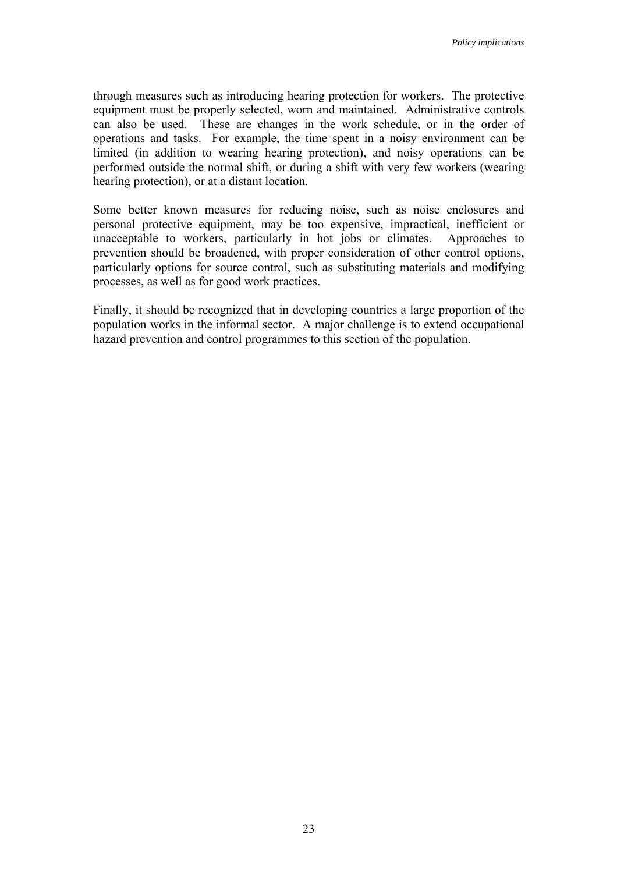through measures such as introducing hearing protection for workers. The protective equipment must be properly selected, worn and maintained. Administrative controls can also be used. These are changes in the work schedule, or in the order of operations and tasks. For example, the time spent in a noisy environment can be limited (in addition to wearing hearing protection), and noisy operations can be performed outside the normal shift, or during a shift with very few workers (wearing hearing protection), or at a distant location.

Some better known measures for reducing noise, such as noise enclosures and personal protective equipment, may be too expensive, impractical, inefficient or unacceptable to workers, particularly in hot jobs or climates. Approaches to prevention should be broadened, with proper consideration of other control options, particularly options for source control, such as substituting materials and modifying processes, as well as for good work practices.

Finally, it should be recognized that in developing countries a large proportion of the population works in the informal sector. A major challenge is to extend occupational hazard prevention and control programmes to this section of the population.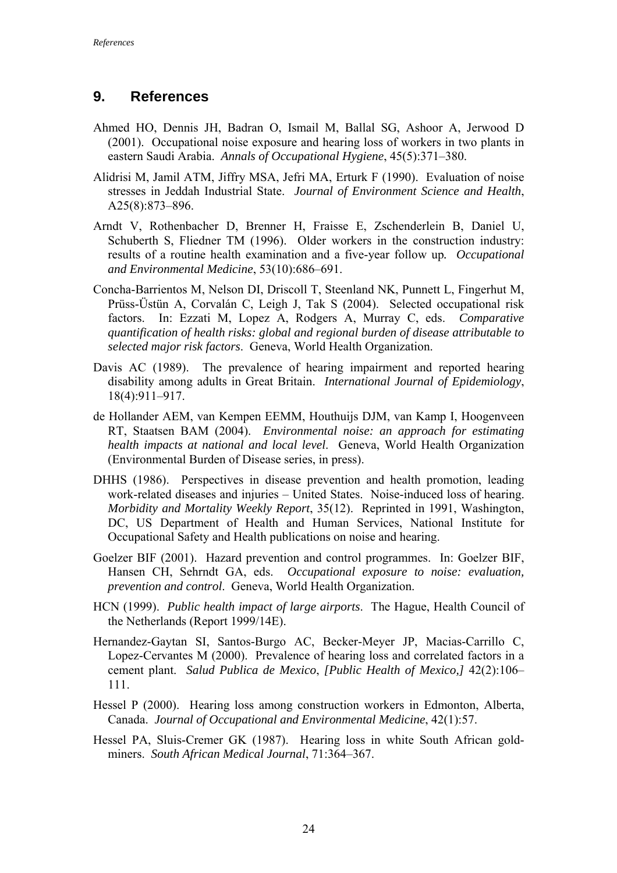### **9. References**

- Ahmed HO, Dennis JH, Badran O, Ismail M, Ballal SG, Ashoor A, Jerwood D (2001). Occupational noise exposure and hearing loss of workers in two plants in eastern Saudi Arabia. *Annals of Occupational Hygiene*, 45(5):371–380.
- Alidrisi M, Jamil ATM, Jiffry MSA, Jefri MA, Erturk F (1990). Evaluation of noise stresses in Jeddah Industrial State. *Journal of Environment Science and Health*, A25(8):873–896.
- Arndt V, Rothenbacher D, Brenner H, Fraisse E, Zschenderlein B, Daniel U, Schuberth S, Fliedner TM (1996). Older workers in the construction industry: results of a routine health examination and a five-year follow up*. Occupational and Environmental Medicine*, 53(10):686–691.
- Concha-Barrientos M, Nelson DI, Driscoll T, Steenland NK, Punnett L, Fingerhut M, Prüss-Üstün A, Corvalán C, Leigh J, Tak S (2004). Selected occupational risk factors. In: Ezzati M, Lopez A, Rodgers A, Murray C, eds. *Comparative quantification of health risks: global and regional burden of disease attributable to selected major risk factors*. Geneva, World Health Organization.
- Davis AC (1989). The prevalence of hearing impairment and reported hearing disability among adults in Great Britain. *International Journal of Epidemiology*, 18(4):911–917.
- de Hollander AEM, van Kempen EEMM, Houthuijs DJM, van Kamp I, Hoogenveen RT, Staatsen BAM (2004). *Environmental noise: an approach for estimating health impacts at national and local level*. Geneva, World Health Organization (Environmental Burden of Disease series, in press).
- DHHS (1986). Perspectives in disease prevention and health promotion, leading work-related diseases and injuries – United States. Noise-induced loss of hearing. *Morbidity and Mortality Weekly Report*, 35(12). Reprinted in 1991, Washington, DC, US Department of Health and Human Services, National Institute for Occupational Safety and Health publications on noise and hearing.
- Goelzer BIF (2001). Hazard prevention and control programmes. In: Goelzer BIF, Hansen CH, Sehrndt GA, eds. *Occupational exposure to noise: evaluation, prevention and control*. Geneva, World Health Organization.
- HCN (1999). *Public health impact of large airports*. The Hague, Health Council of the Netherlands (Report 1999/14E).
- Hernandez-Gaytan SI, Santos-Burgo AC, Becker-Meyer JP, Macias-Carrillo C, Lopez-Cervantes M (2000). Prevalence of hearing loss and correlated factors in a cement plant. *Salud Publica de Mexico*, *[Public Health of Mexico,]* 42(2):106– 111.
- Hessel P (2000). Hearing loss among construction workers in Edmonton, Alberta, Canada. *Journal of Occupational and Environmental Medicine*, 42(1):57.
- Hessel PA, Sluis-Cremer GK (1987). Hearing loss in white South African goldminers. *South African Medical Journal*, 71:364–367.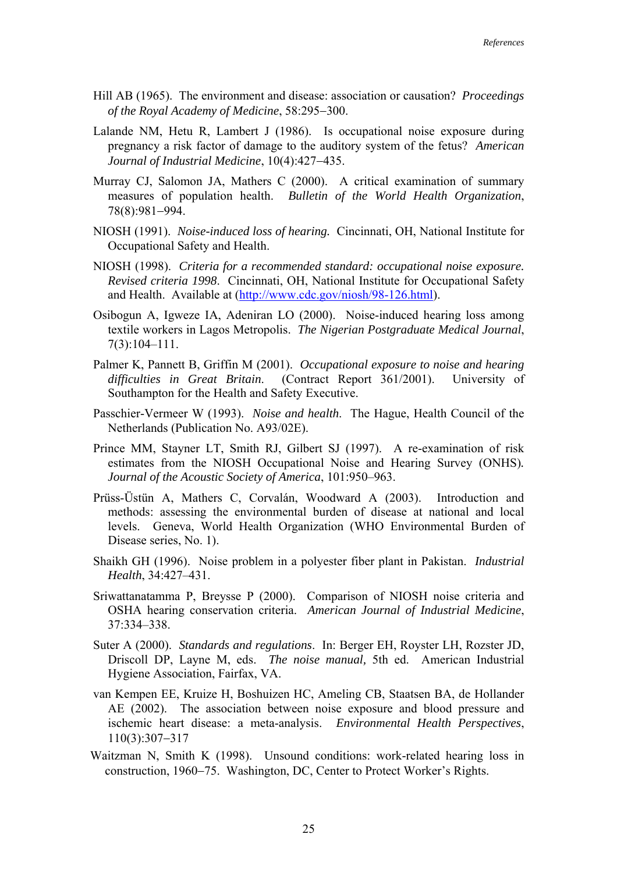- Hill AB (1965). The environment and disease: association or causation? *Proceedings of the Royal Academy of Medicine*, 58:295−300.
- Lalande NM, Hetu R, Lambert J (1986). Is occupational noise exposure during pregnancy a risk factor of damage to the auditory system of the fetus? *American Journal of Industrial Medicine*, 10(4):427−435.
- Murray CJ, Salomon JA, Mathers C (2000). A critical examination of summary measures of population health. *Bulletin of the World Health Organization*, 78(8):981−994.
- NIOSH (1991). *Noise-induced loss of hearing.* Cincinnati, OH, National Institute for Occupational Safety and Health.
- NIOSH (1998). *Criteria for a recommended standard: occupational noise exposure. Revised criteria 1998*. Cincinnati, OH, National Institute for Occupational Safety and Health. Available at (http://www.cdc.gov/niosh/98-126.html).
- Osibogun A, Igweze IA, Adeniran LO (2000). Noise-induced hearing loss among textile workers in Lagos Metropolis. *The Nigerian Postgraduate Medical Journal*, 7(3):104–111.
- Palmer K, Pannett B, Griffin M (2001). *Occupational exposure to noise and hearing difficulties in Great Britain*. (Contract Report 361/2001). University of Southampton for the Health and Safety Executive.
- Passchier-Vermeer W (1993). *Noise and health*. The Hague, Health Council of the Netherlands (Publication No. A93/02E).
- Prince MM, Stayner LT, Smith RJ, Gilbert SJ (1997). A re-examination of risk estimates from the NIOSH Occupational Noise and Hearing Survey (ONHS)*. Journal of the Acoustic Society of America*, 101:950–963.
- Prüss-Üstün A, Mathers C, Corvalán, Woodward A (2003). Introduction and methods: assessing the environmental burden of disease at national and local levels. Geneva, World Health Organization (WHO Environmental Burden of Disease series, No. 1).
- Shaikh GH (1996). Noise problem in a polyester fiber plant in Pakistan. *Industrial Health*, 34:427–431.
- Sriwattanatamma P, Breysse P (2000). Comparison of NIOSH noise criteria and OSHA hearing conservation criteria. *American Journal of Industrial Medicine*, 37:334–338.
- Suter A (2000). *Standards and regulations*. In: Berger EH, Royster LH, Rozster JD, Driscoll DP, Layne M, eds. *The noise manual,* 5th ed. American Industrial Hygiene Association, Fairfax, VA.
- van Kempen EE, Kruize H, Boshuizen HC, Ameling CB, Staatsen BA, de Hollander AE (2002). The association between noise exposure and blood pressure and ischemic heart disease: a meta-analysis. *Environmental Health Perspectives*, 110(3):307−317
- Waitzman N, Smith K (1998). Unsound conditions: work-related hearing loss in construction, 1960−75. Washington, DC, Center to Protect Worker's Rights.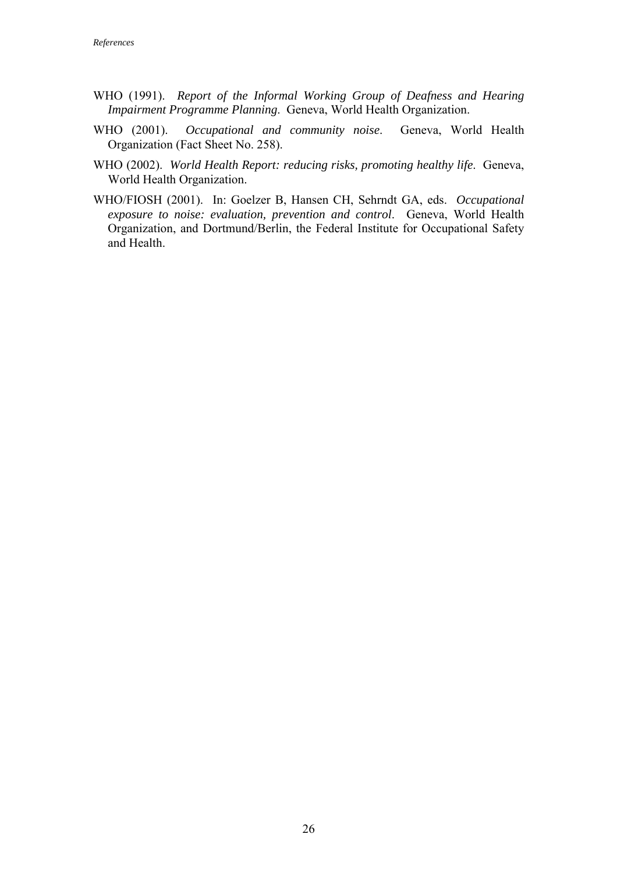- WHO (1991). *Report of the Informal Working Group of Deafness and Hearing Impairment Programme Planning*. Geneva, World Health Organization.
- WHO (2001). *Occupational and community noise*. Geneva, World Health Organization (Fact Sheet No. 258).
- WHO (2002). *World Health Report: reducing risks, promoting healthy life*. Geneva, World Health Organization.
- WHO/FIOSH (2001). In: Goelzer B, Hansen CH, Sehrndt GA, eds. *Occupational exposure to noise: evaluation, prevention and control*. Geneva, World Health Organization, and Dortmund/Berlin, the Federal Institute for Occupational Safety and Health.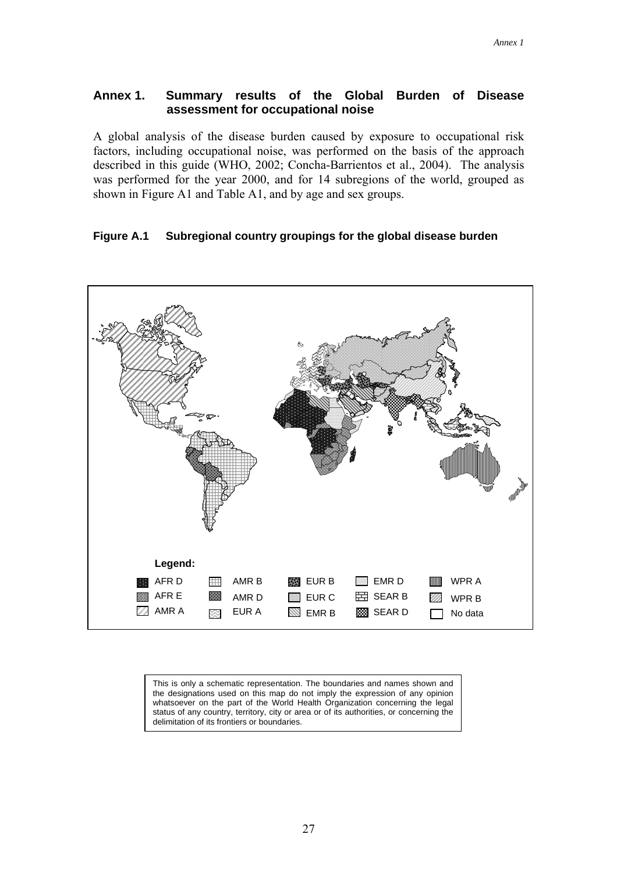#### **Annex 1. Summary results of the Global Burden of Disease assessment for occupational noise**

A global analysis of the disease burden caused by exposure to occupational risk factors, including occupational noise, was performed on the basis of the approach described in this guide (WHO, 2002; Concha-Barrientos et al., 2004). The analysis was performed for the year 2000, and for 14 subregions of the world, grouped as shown in Figure A1 and Table A1, and by age and sex groups.

#### **Figure A.1 Subregional country groupings for the global disease burden**



This is only a schematic representation. The boundaries and names shown and the designations used on this map do not imply the expression of any opinion whatsoever on the part of the World Health Organization concerning the legal status of any country, territory, city or area or of its authorities, or concerning the delimitation of its frontiers or boundaries.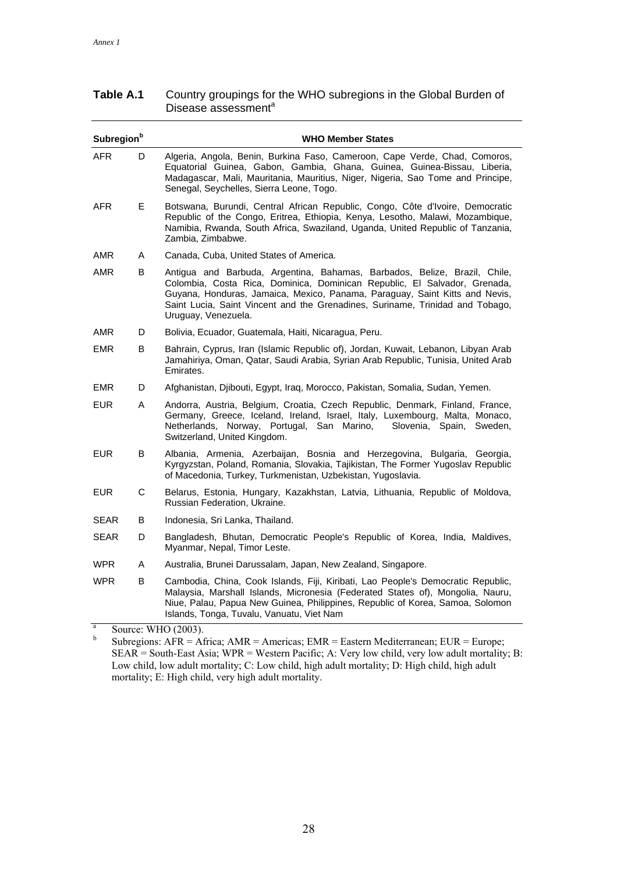| Subregion <sup>b</sup> |    | <b>WHO Member States</b>                                                                                                                                                                                                                                                                                                                      |  |  |  |  |
|------------------------|----|-----------------------------------------------------------------------------------------------------------------------------------------------------------------------------------------------------------------------------------------------------------------------------------------------------------------------------------------------|--|--|--|--|
| <b>AFR</b>             | D  | Algeria, Angola, Benin, Burkina Faso, Cameroon, Cape Verde, Chad, Comoros,<br>Equatorial Guinea, Gabon, Gambia, Ghana, Guinea, Guinea-Bissau, Liberia,<br>Madagascar, Mali, Mauritania, Mauritius, Niger, Nigeria, Sao Tome and Principe,<br>Senegal, Seychelles, Sierra Leone, Togo.                                                         |  |  |  |  |
| <b>AFR</b>             | E. | Botswana, Burundi, Central African Republic, Congo, Côte d'Ivoire, Democratic<br>Republic of the Congo, Eritrea, Ethiopia, Kenya, Lesotho, Malawi, Mozambique,<br>Namibia, Rwanda, South Africa, Swaziland, Uganda, United Republic of Tanzania,<br>Zambia, Zimbabwe.                                                                         |  |  |  |  |
| AMR                    | Α  | Canada, Cuba, United States of America.                                                                                                                                                                                                                                                                                                       |  |  |  |  |
| AMR                    | B  | Antigua and Barbuda, Argentina, Bahamas, Barbados, Belize, Brazil, Chile,<br>Colombia, Costa Rica, Dominica, Dominican Republic, El Salvador, Grenada,<br>Guyana, Honduras, Jamaica, Mexico, Panama, Paraguay, Saint Kitts and Nevis,<br>Saint Lucia, Saint Vincent and the Grenadines, Suriname, Trinidad and Tobago,<br>Uruguay, Venezuela. |  |  |  |  |
| AMR                    | D  | Bolivia, Ecuador, Guatemala, Haiti, Nicaragua, Peru.                                                                                                                                                                                                                                                                                          |  |  |  |  |
| <b>EMR</b>             | B  | Bahrain, Cyprus, Iran (Islamic Republic of), Jordan, Kuwait, Lebanon, Libyan Arab<br>Jamahiriya, Oman, Qatar, Saudi Arabia, Syrian Arab Republic, Tunisia, United Arab<br>Emirates.                                                                                                                                                           |  |  |  |  |
| EMR                    | D  | Afghanistan, Djibouti, Egypt, Iraq, Morocco, Pakistan, Somalia, Sudan, Yemen.                                                                                                                                                                                                                                                                 |  |  |  |  |
| <b>EUR</b>             | A  | Andorra, Austria, Belgium, Croatia, Czech Republic, Denmark, Finland, France,<br>Germany, Greece, Iceland, Ireland, Israel, Italy, Luxembourg, Malta, Monaco,<br>Netherlands, Norway, Portugal, San Marino,<br>Slovenia, Spain, Sweden,<br>Switzerland, United Kingdom.                                                                       |  |  |  |  |
| <b>EUR</b>             | B  | Albania, Armenia, Azerbaijan, Bosnia and Herzegovina, Bulgaria, Georgia,<br>Kyrgyzstan, Poland, Romania, Slovakia, Tajikistan, The Former Yugoslav Republic<br>of Macedonia, Turkey, Turkmenistan, Uzbekistan, Yugoslavia.                                                                                                                    |  |  |  |  |
| <b>EUR</b>             | C  | Belarus, Estonia, Hungary, Kazakhstan, Latvia, Lithuania, Republic of Moldova,<br>Russian Federation, Ukraine.                                                                                                                                                                                                                                |  |  |  |  |
| SEAR                   | B  | Indonesia, Sri Lanka, Thailand.                                                                                                                                                                                                                                                                                                               |  |  |  |  |
| SEAR                   | D  | Bangladesh, Bhutan, Democratic People's Republic of Korea, India, Maldives,<br>Myanmar, Nepal, Timor Leste.                                                                                                                                                                                                                                   |  |  |  |  |
| <b>WPR</b>             | A  | Australia, Brunei Darussalam, Japan, New Zealand, Singapore.                                                                                                                                                                                                                                                                                  |  |  |  |  |
| <b>WPR</b>             | B  | Cambodia, China, Cook Islands, Fiji, Kiribati, Lao People's Democratic Republic,<br>Malaysia, Marshall Islands, Micronesia (Federated States of), Mongolia, Nauru,<br>Niue, Palau, Papua New Guinea, Philippines, Republic of Korea, Samoa, Solomon<br>Islands, Tonga, Tuvalu, Vanuatu, Viet Nam                                              |  |  |  |  |
| a<br>h                 |    | Source: WHO (2003).<br>$\mathbf{r}$ and $\mathbf{r}$<br>$\mathbf{m}$<br>$\sim$                                                                                                                                                                                                                                                                |  |  |  |  |

**Table A.1** Country groupings for the WHO subregions in the Global Burden of Disease assessment<sup>a</sup>

b Subregions: AFR = Africa; AMR = Americas; EMR = Eastern Mediterranean; EUR = Europe; SEAR = South-East Asia; WPR = Western Pacific; A: Very low child, very low adult mortality; B: Low child, low adult mortality; C: Low child, high adult mortality; D: High child, high adult mortality; E: High child, very high adult mortality.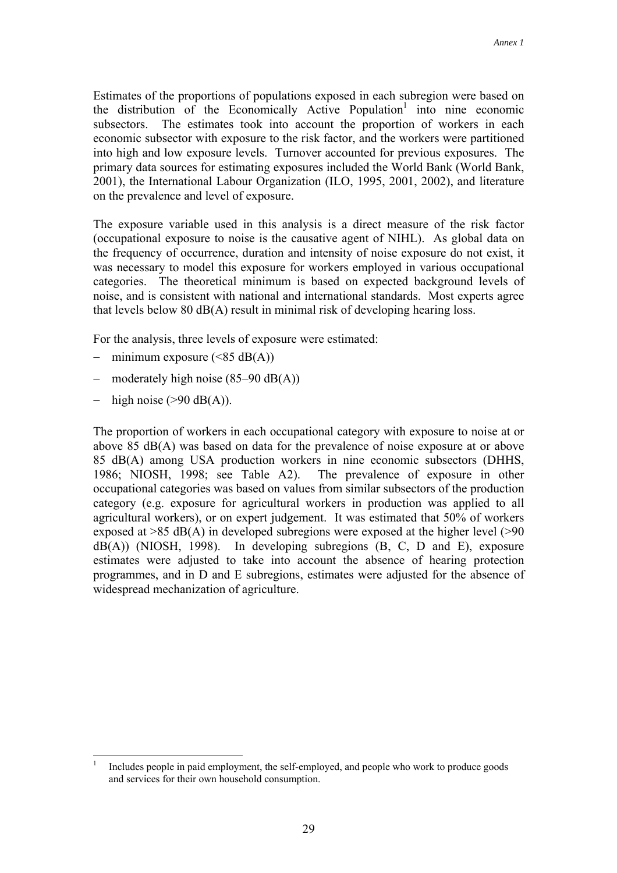Estimates of the proportions of populations exposed in each subregion were based on the distribution of the Economically Active Population<sup>1</sup> into nine economic subsectors. The estimates took into account the proportion of workers in each economic subsector with exposure to the risk factor, and the workers were partitioned into high and low exposure levels. Turnover accounted for previous exposures. The primary data sources for estimating exposures included the World Bank (World Bank, 2001), the International Labour Organization (ILO, 1995, 2001, 2002), and literature on the prevalence and level of exposure.

The exposure variable used in this analysis is a direct measure of the risk factor (occupational exposure to noise is the causative agent of NIHL). As global data on the frequency of occurrence, duration and intensity of noise exposure do not exist, it was necessary to model this exposure for workers employed in various occupational categories. The theoretical minimum is based on expected background levels of noise, and is consistent with national and international standards. Most experts agree that levels below 80 dB(A) result in minimal risk of developing hearing loss.

For the analysis, three levels of exposure were estimated:

- − minimum exposure (<85 dB(A))
- − moderately high noise (85–90 dB(A))
- $-$  high noise (>90 dB(A)).

 $\overline{a}$ 

The proportion of workers in each occupational category with exposure to noise at or above 85 dB(A) was based on data for the prevalence of noise exposure at or above 85 dB(A) among USA production workers in nine economic subsectors (DHHS, 1986; NIOSH, 1998; see Table A2). The prevalence of exposure in other occupational categories was based on values from similar subsectors of the production category (e.g. exposure for agricultural workers in production was applied to all agricultural workers), or on expert judgement. It was estimated that 50% of workers exposed at  $>85$  dB(A) in developed subregions were exposed at the higher level ( $>90$ ) dB(A)) (NIOSH, 1998). In developing subregions (B, C, D and E), exposure estimates were adjusted to take into account the absence of hearing protection programmes, and in D and E subregions, estimates were adjusted for the absence of widespread mechanization of agriculture.

<sup>1</sup> Includes people in paid employment, the self-employed, and people who work to produce goods and services for their own household consumption.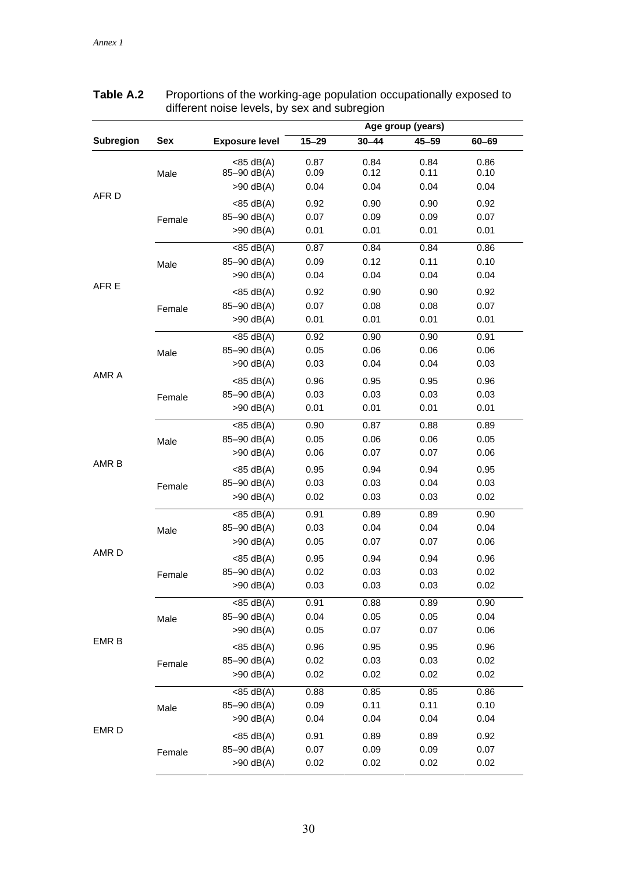|                  |        |                             | Age group (years) |              |              |              |
|------------------|--------|-----------------------------|-------------------|--------------|--------------|--------------|
| Subregion        | Sex    | <b>Exposure level</b>       | $15 - 29$         | $30 - 44$    | $45 - 59$    | $60 - 69$    |
| AFR <sub>D</sub> | Male   | $<$ 85 dB(A)<br>85-90 dB(A) | 0.87<br>0.09      | 0.84<br>0.12 | 0.84<br>0.11 | 0.86<br>0.10 |
|                  |        | $>90$ dB(A)                 | 0.04              | 0.04         | 0.04         | 0.04         |
|                  |        | $<$ 85 dB(A)                | 0.92              | 0.90         | 0.90         | 0.92         |
|                  | Female | 85-90 dB(A)                 | 0.07              | 0.09         | 0.09         | 0.07         |
|                  |        | $>90$ dB(A)                 | 0.01              | 0.01         | 0.01         | 0.01         |
|                  |        | $<$ 85 dB(A)                | 0.87              | 0.84         | 0.84         | 0.86         |
|                  | Male   | 85-90 dB(A)                 | 0.09              | 0.12         | 0.11         | 0.10         |
|                  |        | $>90$ dB(A)                 | 0.04              | 0.04         | 0.04         | 0.04         |
| AFR E            |        | $<$ 85 dB(A)                | 0.92              | 0.90         | 0.90         | 0.92         |
|                  | Female | 85-90 dB(A)                 | 0.07              | 0.08         | 0.08         | 0.07         |
|                  |        | $>90$ dB(A)                 | 0.01              | 0.01         | 0.01         | 0.01         |
|                  |        | $<$ 85 dB(A)                | 0.92              | 0.90         | 0.90         | 0.91         |
|                  | Male   | 85-90 dB(A)                 | 0.05              | 0.06         | 0.06         | 0.06         |
|                  |        | $>90$ dB(A)                 | 0.03              | 0.04         | 0.04         | 0.03         |
| AMR A            | Female | $<$ 85 dB(A)                | 0.96              | 0.95         | 0.95         | 0.96         |
|                  |        | 85-90 dB(A)                 | 0.03              | 0.03         | 0.03         | 0.03         |
|                  |        | $>90$ dB(A)                 | 0.01              | 0.01         | 0.01         | 0.01         |
|                  | Male   | $<$ 85 dB(A)                | 0.90              | 0.87         | 0.88         | 0.89         |
|                  |        | 85-90 dB(A)                 | 0.05              | 0.06         | 0.06         | 0.05         |
|                  |        | $>90$ dB(A)                 | 0.06              | 0.07         | 0.07         | 0.06         |
| AMR B            |        | $<$ 85 dB(A)                | 0.95              | 0.94         | 0.94         | 0.95         |
|                  | Female | 85-90 dB(A)                 | 0.03              | 0.03         | 0.04         | 0.03         |
|                  |        | $>90$ dB(A)                 | 0.02              | 0.03         | 0.03         | 0.02         |
|                  |        | $\overline{85}$ dB(A)       | 0.91              | 0.89         | 0.89         | 0.90         |
|                  | Male   | 85-90 dB(A)                 | 0.03              | 0.04         | 0.04         | 0.04         |
|                  |        | $>90$ dB(A)                 | 0.05              | 0.07         | 0.07         | 0.06         |
| AMR D            |        | $<$ 85 dB(A)                | 0.95              | 0.94         | 0.94         | 0.96         |
|                  | Female | 85-90 dB(A)                 | 0.02              | 0.03         | 0.03         | 0.02         |
|                  |        | $>90$ dB(A)                 | 0.03              | 0.03         | 0.03         | 0.02         |
|                  |        | $<$ 85 dB(A)                | 0.91              | 0.88         | 0.89         | 0.90         |
|                  | Male   | 85-90 dB(A)                 | 0.04              | 0.05         | 0.05         | 0.04         |
|                  |        | $>90$ dB(A)                 | 0.05              | 0.07         | 0.07         | 0.06         |
| EMR B            | Female | $<$ 85 dB(A)                | 0.96              | 0.95         | 0.95         | 0.96         |
|                  |        | 85-90 dB(A)                 | 0.02              | 0.03         | 0.03         | 0.02         |
|                  |        | $>90$ dB(A)                 | 0.02              | 0.02         | 0.02         | 0.02         |
|                  |        | $<$ 85 dB(A)                | 0.88              | 0.85         | 0.85         | 0.86         |
|                  | Male   | 85-90 dB(A)                 | 0.09              | 0.11         | 0.11         | 0.10         |
|                  |        | $>90$ dB(A)                 | 0.04              | 0.04         | 0.04         | 0.04         |
| EMR D            |        | $<$ 85 dB(A)                | 0.91              | 0.89         | 0.89         | 0.92         |
|                  | Female | 85-90 dB(A)                 | 0.07              | 0.09         | 0.09         | 0.07         |
|                  |        | $>90$ dB(A)                 | 0.02              | 0.02         | 0.02         | 0.02         |

#### **Table A.2** Proportions of the working-age population occupationally exposed to different noise levels, by sex and subregion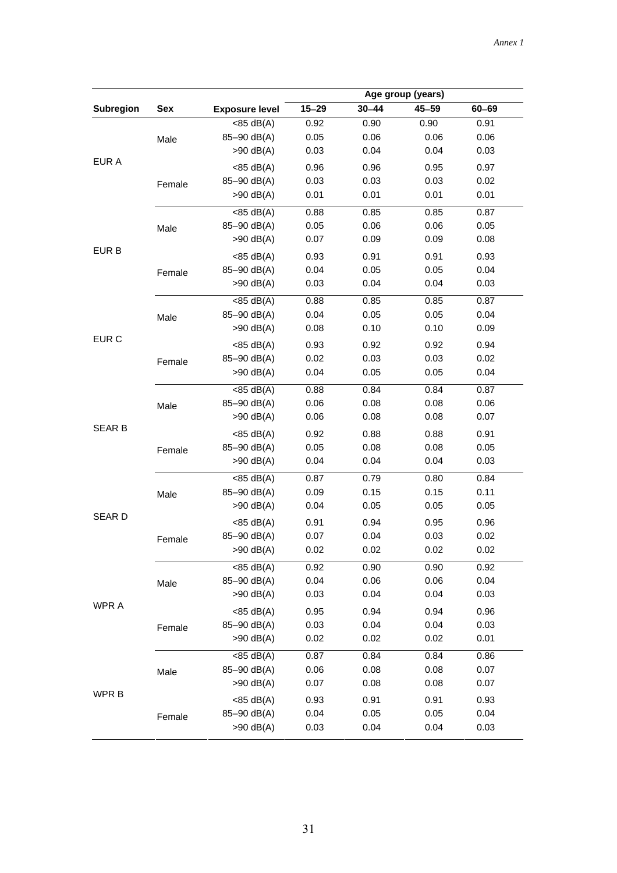|                  |        |                       | Age group (years) |           |           |           |
|------------------|--------|-----------------------|-------------------|-----------|-----------|-----------|
| Subregion        | Sex    | <b>Exposure level</b> | $15 - 29$         | $30 - 44$ | $45 - 59$ | $60 - 69$ |
| <b>EUR A</b>     | Male   | $<$ 85 dB(A)          | 0.92              | 0.90      | 0.90      | 0.91      |
|                  |        | 85-90 dB(A)           | 0.05              | 0.06      | 0.06      | 0.06      |
|                  |        | $>90$ dB(A)           | 0.03              | 0.04      | 0.04      | 0.03      |
|                  |        | $<$ 85 dB(A)          | 0.96              | 0.96      | 0.95      | 0.97      |
|                  | Female | 85-90 dB(A)           | 0.03              | 0.03      | 0.03      | 0.02      |
|                  |        | $>90$ dB(A)           | 0.01              | 0.01      | 0.01      | 0.01      |
|                  |        | $<$ 85 dB(A)          | 0.88              | 0.85      | 0.85      | 0.87      |
|                  | Male   | 85-90 dB(A)           | 0.05              | 0.06      | 0.06      | 0.05      |
|                  |        | $>90$ dB(A)           | 0.07              | 0.09      | 0.09      | 0.08      |
| EUR B            |        | $<$ 85 dB(A)          | 0.93              | 0.91      | 0.91      | 0.93      |
|                  | Female | 85-90 dB(A)           | 0.04              | 0.05      | 0.05      | 0.04      |
|                  |        | $>90$ dB(A)           | 0.03              | 0.04      | 0.04      | 0.03      |
|                  |        | $<$ 85 dB(A)          | 0.88              | 0.85      | 0.85      | 0.87      |
|                  | Male   | 85-90 dB(A)           | 0.04              | 0.05      | 0.05      | 0.04      |
|                  |        | $>90$ dB(A)           | 0.08              | 0.10      | 0.10      | 0.09      |
| EUR <sub>C</sub> |        | $<$ 85 dB(A)          | 0.93              | 0.92      | 0.92      | 0.94      |
|                  | Female | 85-90 dB(A)           | 0.02              | 0.03      | 0.03      | 0.02      |
|                  |        | $>90$ dB(A)           | 0.04              | 0.05      | 0.05      | 0.04      |
|                  |        | $<$ 85 dB(A)          | 0.88              | 0.84      | 0.84      | 0.87      |
|                  | Male   | 85-90 dB(A)           | 0.06              | 0.08      | 0.08      | 0.06      |
|                  |        | $>90$ dB(A)           | 0.06              | 0.08      | 0.08      | 0.07      |
| <b>SEAR B</b>    |        | $<$ 85 dB $(A)$       | 0.92              | 0.88      | 0.88      | 0.91      |
|                  | Female | 85-90 dB(A)           | 0.05              | 0.08      | 0.08      | 0.05      |
|                  |        | $>90$ dB(A)           | 0.04              | 0.04      | 0.04      | 0.03      |
|                  |        | $<$ 85 dB(A)          | 0.87              | 0.79      | 0.80      | 0.84      |
|                  | Male   | 85-90 dB(A)           | 0.09              | 0.15      | 0.15      | 0.11      |
|                  |        | $>90$ dB(A)           | 0.04              | 0.05      | 0.05      | 0.05      |
| <b>SEARD</b>     |        | $<$ 85 dB(A)          | 0.91              | 0.94      | 0.95      | 0.96      |
|                  | Female | 85-90 dB(A)           | 0.07              | 0.04      | 0.03      | 0.02      |
|                  |        | >90 dB(A)             | 0.02              | 0.02      | 0.02      | 0.02      |
|                  | Male   | $<$ 85 dB(A)          | 0.92              | 0.90      | 0.90      | 0.92      |
|                  |        | 85-90 dB(A)           | 0.04              | 0.06      | 0.06      | 0.04      |
|                  |        | $>90$ dB(A)           | 0.03              | 0.04      | 0.04      | 0.03      |
| WPR A            | Female | $<$ 85 dB(A)          | 0.95              | 0.94      | 0.94      | 0.96      |
|                  |        | 85-90 dB(A)           | 0.03              | 0.04      | 0.04      | 0.03      |
|                  |        | $>90$ dB(A)           | 0.02              | 0.02      | 0.02      | 0.01      |
|                  |        | $<$ 85 dB(A)          | 0.87              | 0.84      | 0.84      | 0.86      |
|                  | Male   | 85-90 dB(A)           | 0.06              | 0.08      | 0.08      | 0.07      |
|                  |        | $>90$ dB(A)           | 0.07              | 0.08      | 0.08      | 0.07      |
| WPR B            |        | $<$ 85 dB(A)          | 0.93              | 0.91      | 0.91      | 0.93      |
|                  | Female | 85-90 dB(A)           | 0.04              | 0.05      | 0.05      | 0.04      |
|                  |        | $>90$ dB(A)           | 0.03              | 0.04      | 0.04      | 0.03      |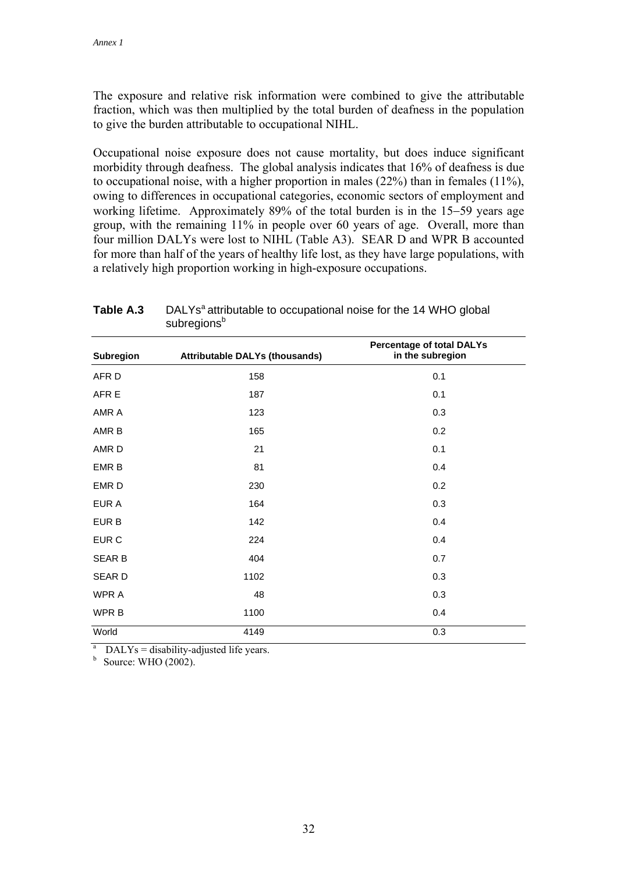The exposure and relative risk information were combined to give the attributable fraction, which was then multiplied by the total burden of deafness in the population to give the burden attributable to occupational NIHL.

Occupational noise exposure does not cause mortality, but does induce significant morbidity through deafness. The global analysis indicates that 16% of deafness is due to occupational noise, with a higher proportion in males (22%) than in females (11%), owing to differences in occupational categories, economic sectors of employment and working lifetime. Approximately 89% of the total burden is in the 15−59 years age group, with the remaining 11% in people over 60 years of age. Overall, more than four million DALYs were lost to NIHL (Table A3). SEAR D and WPR B accounted for more than half of the years of healthy life lost, as they have large populations, with a relatively high proportion working in high-exposure occupations.

| Subregion     | <b>Attributable DALYs (thousands)</b> | <b>Percentage of total DALYs</b><br>in the subregion |
|---------------|---------------------------------------|------------------------------------------------------|
| AFR D         | 158                                   | 0.1                                                  |
| AFR E         | 187                                   | 0.1                                                  |
| AMR A         | 123                                   | 0.3                                                  |
| AMR B         | 165                                   | 0.2                                                  |
| AMR D         | 21                                    | 0.1                                                  |
| EMR B         | 81                                    | 0.4                                                  |
| EMR D         | 230                                   | 0.2                                                  |
| EUR A         | 164                                   | 0.3                                                  |
| EUR B         | 142                                   | 0.4                                                  |
| EUR C         | 224                                   | 0.4                                                  |
| <b>SEAR B</b> | 404                                   | 0.7                                                  |
| <b>SEARD</b>  | 1102                                  | 0.3                                                  |
| WPR A         | 48                                    | 0.3                                                  |
| WPR B         | 1100                                  | 0.4                                                  |
| World         | 4149                                  | 0.3                                                  |

**Table A.3** DALYs<sup>a</sup> attributable to occupational noise for the 14 WHO global subregions<sup>b</sup>

 $\alpha$  DALYs = disability-adjusted life years.

 $<sup>b</sup>$  Source: WHO (2002).</sup>